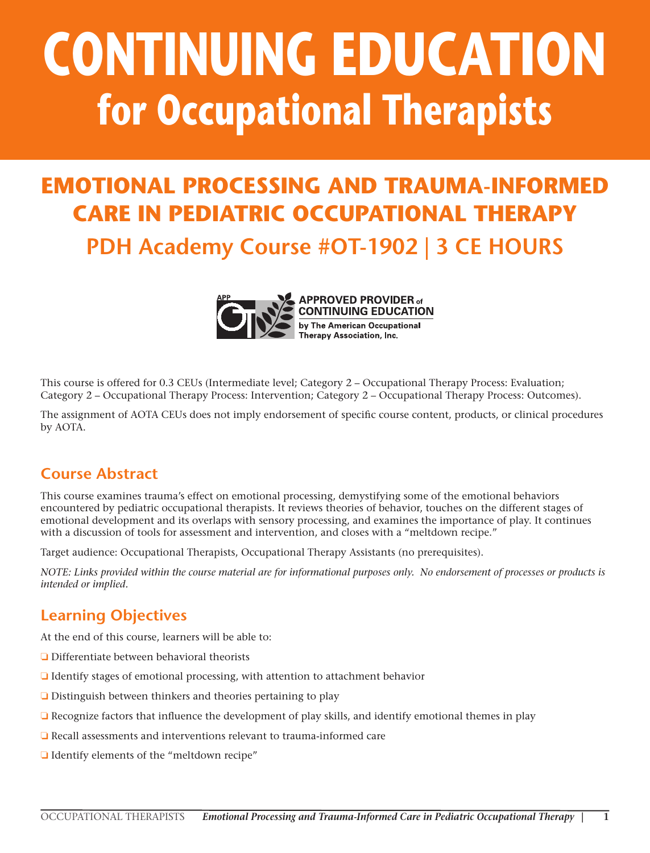# **CONTINUING EDUCATION for Occupational Therapists**

# **EMOTIONAL PROCESSING AND TRAUMA-INFORMED CARE IN PEDIATRIC OCCUPATIONAL THERAPY PDH Academy Course #OT-1902 | 3 CE HOURS**



**APPROVED PROVIDER of CONTINUING EDUCATION** by The American Occupational Therapy Association, Inc.

This course is offered for 0.3 CEUs (Intermediate level; Category 2 – Occupational Therapy Process: Evaluation; Category 2 – Occupational Therapy Process: Intervention; Category 2 – Occupational Therapy Process: Outcomes).

The assignment of AOTA CEUs does not imply endorsement of specific course content, products, or clinical procedures by AOTA.

## **Course Abstract**

This course examines trauma's effect on emotional processing, demystifying some of the emotional behaviors encountered by pediatric occupational therapists. It reviews theories of behavior, touches on the different stages of emotional development and its overlaps with sensory processing, and examines the importance of play. It continues with a discussion of tools for assessment and intervention, and closes with a "meltdown recipe."

Target audience: Occupational Therapists, Occupational Therapy Assistants (no prerequisites).

*NOTE: Links provided within the course material are for informational purposes only. No endorsement of processes or products is intended or implied.*

## **Learning Objectives**

At the end of this course, learners will be able to:

- ❏ Differentiate between behavioral theorists
- ❏ Identify stages of emotional processing, with attention to attachment behavior
- ❏ Distinguish between thinkers and theories pertaining to play
- ❏ Recognize factors that influence the development of play skills, and identify emotional themes in play
- ❏ Recall assessments and interventions relevant to trauma-informed care
- ❏ Identify elements of the "meltdown recipe"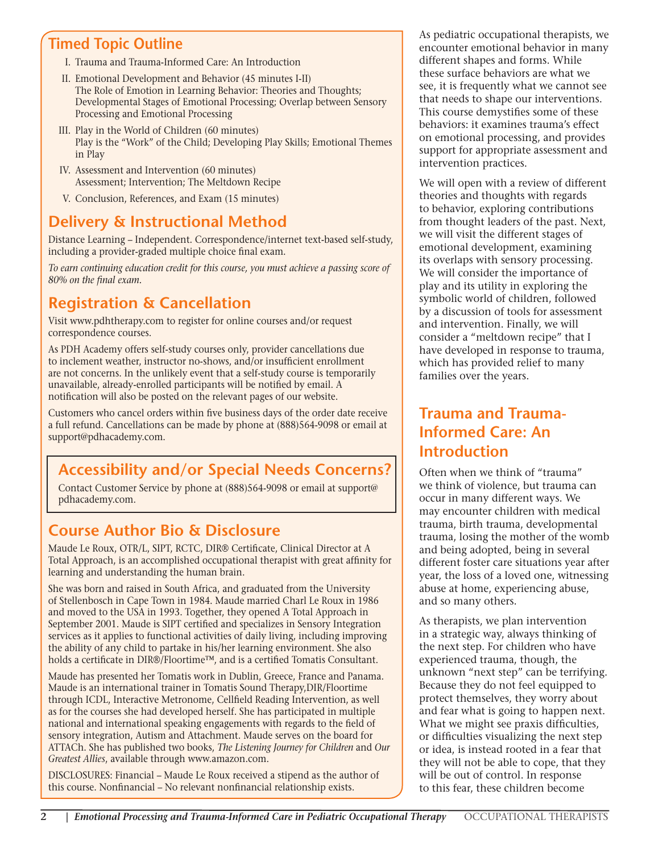## **Timed Topic Outline**

- I. Trauma and Trauma-Informed Care: An Introduction
- II. Emotional Development and Behavior (45 minutes I-II) The Role of Emotion in Learning Behavior: Theories and Thoughts; Developmental Stages of Emotional Processing; Overlap between Sensory Processing and Emotional Processing
- III. Play in the World of Children (60 minutes) Play is the "Work" of the Child; Developing Play Skills; Emotional Themes in Play
- IV. Assessment and Intervention (60 minutes) Assessment; Intervention; The Meltdown Recipe
- V. Conclusion, References, and Exam (15 minutes)

## **Delivery & Instructional Method**

Distance Learning – Independent. Correspondence/internet text-based self-study, including a provider-graded multiple choice final exam.

*To earn continuing education credit for this course, you must achieve a passing score of 80% on the final exam.*

## **Registration & Cancellation**

Visit www.pdhtherapy.com to register for online courses and/or request correspondence courses.

As PDH Academy offers self-study courses only, provider cancellations due to inclement weather, instructor no-shows, and/or insufficient enrollment are not concerns. In the unlikely event that a self-study course is temporarily unavailable, already-enrolled participants will be notified by email. A notification will also be posted on the relevant pages of our website.

Customers who cancel orders within five business days of the order date receive a full refund. Cancellations can be made by phone at (888)564-9098 or email at support@pdhacademy.com.

## **Accessibility and/or Special Needs Concerns?**

Contact Customer Service by phone at (888)564-9098 or email at support@ pdhacademy.com.

## **Course Author Bio & Disclosure**

Maude Le Roux, OTR/L, SIPT, RCTC, DIR® Certificate, Clinical Director at A Total Approach, is an accomplished occupational therapist with great affinity for learning and understanding the human brain.

She was born and raised in South Africa, and graduated from the University of Stellenbosch in Cape Town in 1984. Maude married Charl Le Roux in 1986 and moved to the USA in 1993. Together, they opened A Total Approach in September 2001. Maude is SIPT certified and specializes in Sensory Integration services as it applies to functional activities of daily living, including improving the ability of any child to partake in his/her learning environment. She also holds a certificate in DIR®/Floortime™, and is a certified Tomatis Consultant.

Maude has presented her Tomatis work in Dublin, Greece, France and Panama. Maude is an international trainer in Tomatis Sound Therapy,DIR/Floortime through ICDL, Interactive Metronome, Cellfield Reading Intervention, as well as for the courses she had developed herself. She has participated in multiple national and international speaking engagements with regards to the field of sensory integration, Autism and Attachment. Maude serves on the board for ATTACh. She has published two books, *The Listening Journey for Children* and *Our Greatest Allies*, available through www.amazon.com.

DISCLOSURES: Financial – Maude Le Roux received a stipend as the author of this course. Nonfinancial – No relevant nonfinancial relationship exists.

As pediatric occupational therapists, we encounter emotional behavior in many different shapes and forms. While these surface behaviors are what we see, it is frequently what we cannot see that needs to shape our interventions. This course demystifies some of these behaviors: it examines trauma's effect on emotional processing, and provides support for appropriate assessment and intervention practices.

We will open with a review of different theories and thoughts with regards to behavior, exploring contributions from thought leaders of the past. Next, we will visit the different stages of emotional development, examining its overlaps with sensory processing. We will consider the importance of play and its utility in exploring the symbolic world of children, followed by a discussion of tools for assessment and intervention. Finally, we will consider a "meltdown recipe" that I have developed in response to trauma, which has provided relief to many families over the years.

## **Trauma and Trauma-Informed Care: An Introduction**

Often when we think of "trauma" we think of violence, but trauma can occur in many different ways. We may encounter children with medical trauma, birth trauma, developmental trauma, losing the mother of the womb and being adopted, being in several different foster care situations year after year, the loss of a loved one, witnessing abuse at home, experiencing abuse, and so many others.

As therapists, we plan intervention in a strategic way, always thinking of the next step. For children who have experienced trauma, though, the unknown "next step" can be terrifying. Because they do not feel equipped to protect themselves, they worry about and fear what is going to happen next. What we might see praxis difficulties, or difficulties visualizing the next step or idea, is instead rooted in a fear that they will not be able to cope, that they will be out of control. In response to this fear, these children become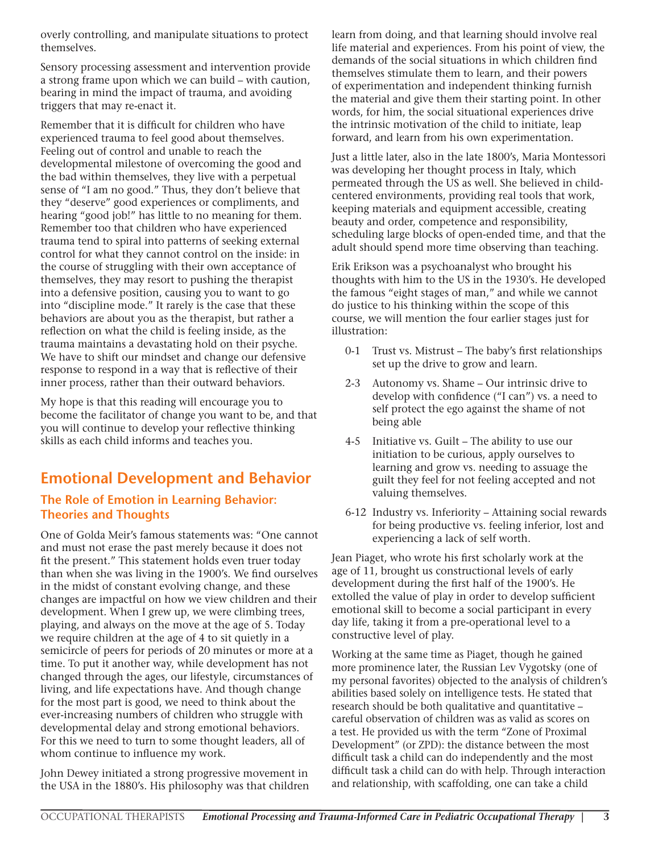overly controlling, and manipulate situations to protect themselves.

Sensory processing assessment and intervention provide a strong frame upon which we can build – with caution, bearing in mind the impact of trauma, and avoiding triggers that may re-enact it.

Remember that it is difficult for children who have experienced trauma to feel good about themselves. Feeling out of control and unable to reach the developmental milestone of overcoming the good and the bad within themselves, they live with a perpetual sense of "I am no good." Thus, they don't believe that they "deserve" good experiences or compliments, and hearing "good job!" has little to no meaning for them. Remember too that children who have experienced trauma tend to spiral into patterns of seeking external control for what they cannot control on the inside: in the course of struggling with their own acceptance of themselves, they may resort to pushing the therapist into a defensive position, causing you to want to go into "discipline mode." It rarely is the case that these behaviors are about you as the therapist, but rather a reflection on what the child is feeling inside, as the trauma maintains a devastating hold on their psyche. We have to shift our mindset and change our defensive response to respond in a way that is reflective of their inner process, rather than their outward behaviors.

My hope is that this reading will encourage you to become the facilitator of change you want to be, and that you will continue to develop your reflective thinking skills as each child informs and teaches you.

## **Emotional Development and Behavior**

#### **The Role of Emotion in Learning Behavior: Theories and Thoughts**

One of Golda Meir's famous statements was: "One cannot and must not erase the past merely because it does not fit the present." This statement holds even truer today than when she was living in the 1900's. We find ourselves in the midst of constant evolving change, and these changes are impactful on how we view children and their development. When I grew up, we were climbing trees, playing, and always on the move at the age of 5. Today we require children at the age of 4 to sit quietly in a semicircle of peers for periods of 20 minutes or more at a time. To put it another way, while development has not changed through the ages, our lifestyle, circumstances of living, and life expectations have. And though change for the most part is good, we need to think about the ever-increasing numbers of children who struggle with developmental delay and strong emotional behaviors. For this we need to turn to some thought leaders, all of whom continue to influence my work.

John Dewey initiated a strong progressive movement in the USA in the 1880's. His philosophy was that children learn from doing, and that learning should involve real life material and experiences. From his point of view, the demands of the social situations in which children find themselves stimulate them to learn, and their powers of experimentation and independent thinking furnish the material and give them their starting point. In other words, for him, the social situational experiences drive the intrinsic motivation of the child to initiate, leap forward, and learn from his own experimentation.

Just a little later, also in the late 1800's, Maria Montessori was developing her thought process in Italy, which permeated through the US as well. She believed in childcentered environments, providing real tools that work, keeping materials and equipment accessible, creating beauty and order, competence and responsibility, scheduling large blocks of open-ended time, and that the adult should spend more time observing than teaching.

Erik Erikson was a psychoanalyst who brought his thoughts with him to the US in the 1930's. He developed the famous "eight stages of man," and while we cannot do justice to his thinking within the scope of this course, we will mention the four earlier stages just for illustration:

- 0-1 Trust vs. Mistrust The baby's first relationships set up the drive to grow and learn.
- 2-3 Autonomy vs. Shame Our intrinsic drive to develop with confidence ("I can") vs. a need to self protect the ego against the shame of not being able
- 4-5 Initiative vs. Guilt The ability to use our initiation to be curious, apply ourselves to learning and grow vs. needing to assuage the guilt they feel for not feeling accepted and not valuing themselves.
- 6-12 Industry vs. Inferiority Attaining social rewards for being productive vs. feeling inferior, lost and experiencing a lack of self worth.

Jean Piaget, who wrote his first scholarly work at the age of 11, brought us constructional levels of early development during the first half of the 1900's. He extolled the value of play in order to develop sufficient emotional skill to become a social participant in every day life, taking it from a pre-operational level to a constructive level of play.

Working at the same time as Piaget, though he gained more prominence later, the Russian Lev Vygotsky (one of my personal favorites) objected to the analysis of children's abilities based solely on intelligence tests. He stated that research should be both qualitative and quantitative – careful observation of children was as valid as scores on a test. He provided us with the term "Zone of Proximal Development" (or ZPD): the distance between the most difficult task a child can do independently and the most difficult task a child can do with help. Through interaction and relationship, with scaffolding, one can take a child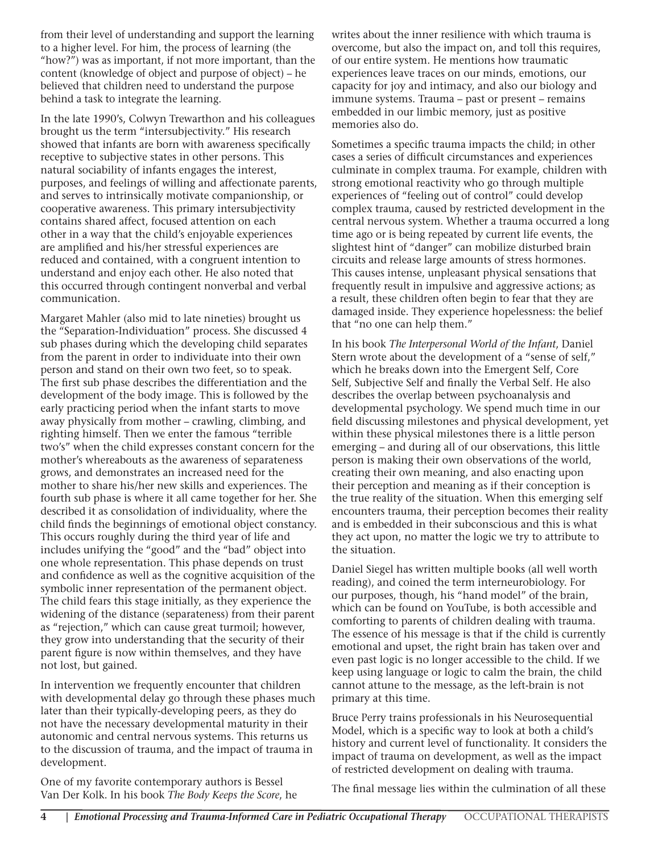from their level of understanding and support the learning to a higher level. For him, the process of learning (the "how?") was as important, if not more important, than the content (knowledge of object and purpose of object) – he believed that children need to understand the purpose behind a task to integrate the learning.

In the late 1990's, Colwyn Trewarthon and his colleagues brought us the term "intersubjectivity." His research showed that infants are born with awareness specifically receptive to subjective states in other persons. This natural sociability of infants engages the interest, purposes, and feelings of willing and affectionate parents, and serves to intrinsically motivate companionship, or cooperative awareness. This primary intersubjectivity contains shared affect, focused attention on each other in a way that the child's enjoyable experiences are amplified and his/her stressful experiences are reduced and contained, with a congruent intention to understand and enjoy each other. He also noted that this occurred through contingent nonverbal and verbal communication.

Margaret Mahler (also mid to late nineties) brought us the "Separation-Individuation" process. She discussed 4 sub phases during which the developing child separates from the parent in order to individuate into their own person and stand on their own two feet, so to speak. The first sub phase describes the differentiation and the development of the body image. This is followed by the early practicing period when the infant starts to move away physically from mother – crawling, climbing, and righting himself. Then we enter the famous "terrible two's" when the child expresses constant concern for the mother's whereabouts as the awareness of separateness grows, and demonstrates an increased need for the mother to share his/her new skills and experiences. The fourth sub phase is where it all came together for her. She described it as consolidation of individuality, where the child finds the beginnings of emotional object constancy. This occurs roughly during the third year of life and includes unifying the "good" and the "bad" object into one whole representation. This phase depends on trust and confidence as well as the cognitive acquisition of the symbolic inner representation of the permanent object. The child fears this stage initially, as they experience the widening of the distance (separateness) from their parent as "rejection," which can cause great turmoil; however, they grow into understanding that the security of their parent figure is now within themselves, and they have not lost, but gained.

In intervention we frequently encounter that children with developmental delay go through these phases much later than their typically-developing peers, as they do not have the necessary developmental maturity in their autonomic and central nervous systems. This returns us to the discussion of trauma, and the impact of trauma in development.

One of my favorite contemporary authors is Bessel Van Der Kolk. In his book *The Body Keeps the Score*, he writes about the inner resilience with which trauma is overcome, but also the impact on, and toll this requires, of our entire system. He mentions how traumatic experiences leave traces on our minds, emotions, our capacity for joy and intimacy, and also our biology and immune systems. Trauma – past or present – remains embedded in our limbic memory, just as positive memories also do.

Sometimes a specific trauma impacts the child; in other cases a series of difficult circumstances and experiences culminate in complex trauma. For example, children with strong emotional reactivity who go through multiple experiences of "feeling out of control" could develop complex trauma, caused by restricted development in the central nervous system. Whether a trauma occurred a long time ago or is being repeated by current life events, the slightest hint of "danger" can mobilize disturbed brain circuits and release large amounts of stress hormones. This causes intense, unpleasant physical sensations that frequently result in impulsive and aggressive actions; as a result, these children often begin to fear that they are damaged inside. They experience hopelessness: the belief that "no one can help them."

In his book *The Interpersonal World of the Infant*, Daniel Stern wrote about the development of a "sense of self," which he breaks down into the Emergent Self, Core Self, Subjective Self and finally the Verbal Self. He also describes the overlap between psychoanalysis and developmental psychology. We spend much time in our field discussing milestones and physical development, yet within these physical milestones there is a little person emerging – and during all of our observations, this little person is making their own observations of the world, creating their own meaning, and also enacting upon their perception and meaning as if their conception is the true reality of the situation. When this emerging self encounters trauma, their perception becomes their reality and is embedded in their subconscious and this is what they act upon, no matter the logic we try to attribute to the situation.

Daniel Siegel has written multiple books (all well worth reading), and coined the term interneurobiology. For our purposes, though, his "hand model" of the brain, which can be found on YouTube, is both accessible and comforting to parents of children dealing with trauma. The essence of his message is that if the child is currently emotional and upset, the right brain has taken over and even past logic is no longer accessible to the child. If we keep using language or logic to calm the brain, the child cannot attune to the message, as the left-brain is not primary at this time.

Bruce Perry trains professionals in his Neurosequential Model, which is a specific way to look at both a child's history and current level of functionality. It considers the impact of trauma on development, as well as the impact of restricted development on dealing with trauma.

The final message lies within the culmination of all these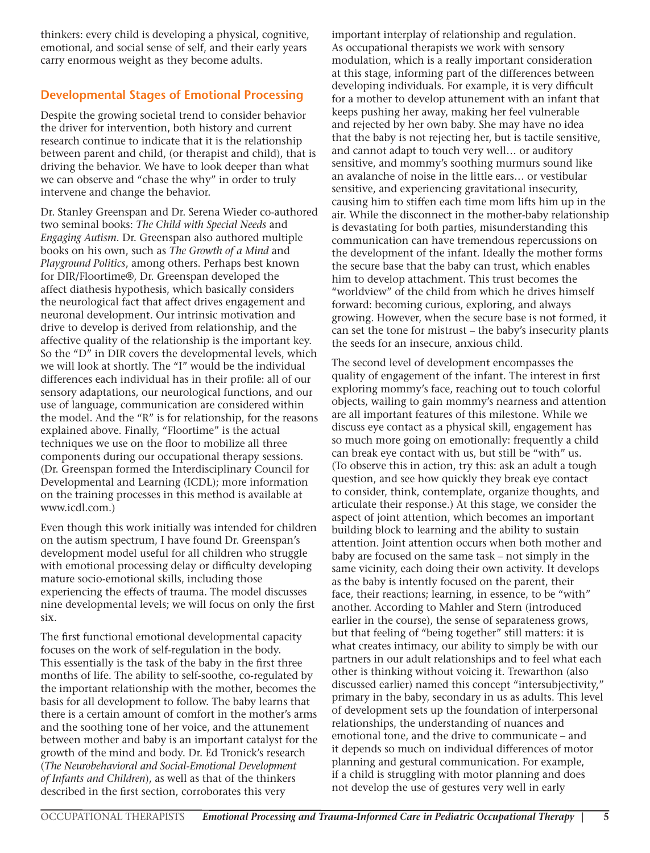thinkers: every child is developing a physical, cognitive, emotional, and social sense of self, and their early years carry enormous weight as they become adults.

#### **Developmental Stages of Emotional Processing**

Despite the growing societal trend to consider behavior the driver for intervention, both history and current research continue to indicate that it is the relationship between parent and child, (or therapist and child), that is driving the behavior. We have to look deeper than what we can observe and "chase the why" in order to truly intervene and change the behavior.

Dr. Stanley Greenspan and Dr. Serena Wieder co-authored two seminal books: *The Child with Special Needs* and *Engaging Autism*. Dr. Greenspan also authored multiple books on his own, such as *The Growth of a Mind* and *Playground Politics*, among others. Perhaps best known for DIR/Floortime®, Dr. Greenspan developed the affect diathesis hypothesis, which basically considers the neurological fact that affect drives engagement and neuronal development. Our intrinsic motivation and drive to develop is derived from relationship, and the affective quality of the relationship is the important key. So the "D" in DIR covers the developmental levels, which we will look at shortly. The "I" would be the individual differences each individual has in their profile: all of our sensory adaptations, our neurological functions, and our use of language, communication are considered within the model. And the "R" is for relationship, for the reasons explained above. Finally, "Floortime" is the actual techniques we use on the floor to mobilize all three components during our occupational therapy sessions. (Dr. Greenspan formed the Interdisciplinary Council for Developmental and Learning (ICDL); more information on the training processes in this method is available at www.icdl.com.)

Even though this work initially was intended for children on the autism spectrum, I have found Dr. Greenspan's development model useful for all children who struggle with emotional processing delay or difficulty developing mature socio-emotional skills, including those experiencing the effects of trauma. The model discusses nine developmental levels; we will focus on only the first six.

The first functional emotional developmental capacity focuses on the work of self-regulation in the body. This essentially is the task of the baby in the first three months of life. The ability to self-soothe, co-regulated by the important relationship with the mother, becomes the basis for all development to follow. The baby learns that there is a certain amount of comfort in the mother's arms and the soothing tone of her voice, and the attunement between mother and baby is an important catalyst for the growth of the mind and body. Dr. Ed Tronick's research (*The Neurobehavioral and Social-Emotional Development of Infants and Children*), as well as that of the thinkers described in the first section, corroborates this very

important interplay of relationship and regulation. As occupational therapists we work with sensory modulation, which is a really important consideration at this stage, informing part of the differences between developing individuals. For example, it is very difficult for a mother to develop attunement with an infant that keeps pushing her away, making her feel vulnerable and rejected by her own baby. She may have no idea that the baby is not rejecting her, but is tactile sensitive, and cannot adapt to touch very well… or auditory sensitive, and mommy's soothing murmurs sound like an avalanche of noise in the little ears… or vestibular sensitive, and experiencing gravitational insecurity, causing him to stiffen each time mom lifts him up in the air. While the disconnect in the mother-baby relationship is devastating for both parties, misunderstanding this communication can have tremendous repercussions on the development of the infant. Ideally the mother forms the secure base that the baby can trust, which enables him to develop attachment. This trust becomes the "worldview" of the child from which he drives himself forward: becoming curious, exploring, and always growing. However, when the secure base is not formed, it can set the tone for mistrust – the baby's insecurity plants the seeds for an insecure, anxious child.

The second level of development encompasses the quality of engagement of the infant. The interest in first exploring mommy's face, reaching out to touch colorful objects, wailing to gain mommy's nearness and attention are all important features of this milestone. While we discuss eye contact as a physical skill, engagement has so much more going on emotionally: frequently a child can break eye contact with us, but still be "with" us. (To observe this in action, try this: ask an adult a tough question, and see how quickly they break eye contact to consider, think, contemplate, organize thoughts, and articulate their response.) At this stage, we consider the aspect of joint attention, which becomes an important building block to learning and the ability to sustain attention. Joint attention occurs when both mother and baby are focused on the same task – not simply in the same vicinity, each doing their own activity. It develops as the baby is intently focused on the parent, their face, their reactions; learning, in essence, to be "with" another. According to Mahler and Stern (introduced earlier in the course), the sense of separateness grows, but that feeling of "being together" still matters: it is what creates intimacy, our ability to simply be with our partners in our adult relationships and to feel what each other is thinking without voicing it. Trewarthon (also discussed earlier) named this concept "intersubjectivity," primary in the baby, secondary in us as adults. This level of development sets up the foundation of interpersonal relationships, the understanding of nuances and emotional tone, and the drive to communicate – and it depends so much on individual differences of motor planning and gestural communication. For example, if a child is struggling with motor planning and does not develop the use of gestures very well in early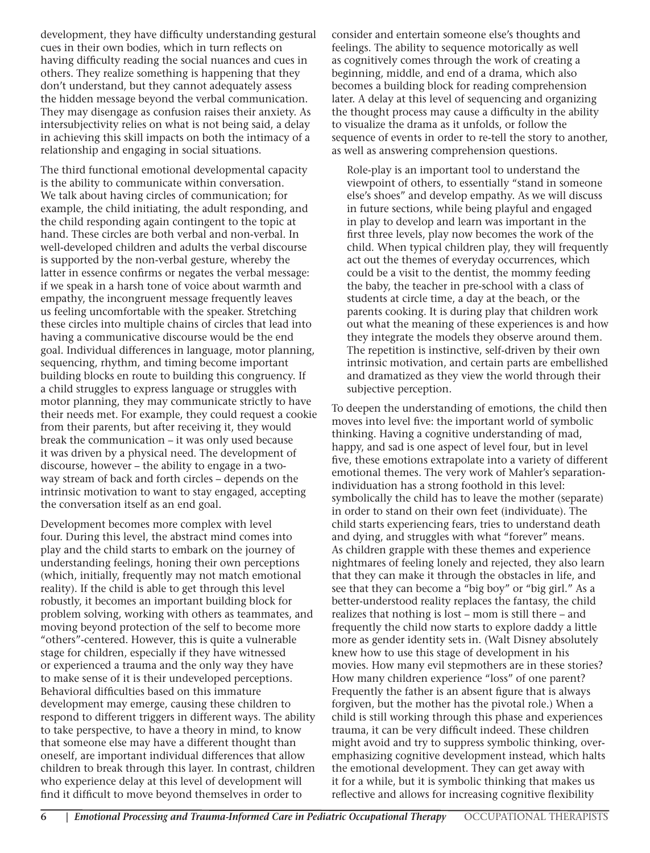development, they have difficulty understanding gestural cues in their own bodies, which in turn reflects on having difficulty reading the social nuances and cues in others. They realize something is happening that they don't understand, but they cannot adequately assess the hidden message beyond the verbal communication. They may disengage as confusion raises their anxiety. As intersubjectivity relies on what is not being said, a delay in achieving this skill impacts on both the intimacy of a relationship and engaging in social situations.

The third functional emotional developmental capacity is the ability to communicate within conversation. We talk about having circles of communication; for example, the child initiating, the adult responding, and the child responding again contingent to the topic at hand. These circles are both verbal and non-verbal. In well-developed children and adults the verbal discourse is supported by the non-verbal gesture, whereby the latter in essence confirms or negates the verbal message: if we speak in a harsh tone of voice about warmth and empathy, the incongruent message frequently leaves us feeling uncomfortable with the speaker. Stretching these circles into multiple chains of circles that lead into having a communicative discourse would be the end goal. Individual differences in language, motor planning, sequencing, rhythm, and timing become important building blocks en route to building this congruency. If a child struggles to express language or struggles with motor planning, they may communicate strictly to have their needs met. For example, they could request a cookie from their parents, but after receiving it, they would break the communication – it was only used because it was driven by a physical need. The development of discourse, however – the ability to engage in a twoway stream of back and forth circles – depends on the intrinsic motivation to want to stay engaged, accepting the conversation itself as an end goal.

Development becomes more complex with level four. During this level, the abstract mind comes into play and the child starts to embark on the journey of understanding feelings, honing their own perceptions (which, initially, frequently may not match emotional reality). If the child is able to get through this level robustly, it becomes an important building block for problem solving, working with others as teammates, and moving beyond protection of the self to become more "others"-centered. However, this is quite a vulnerable stage for children, especially if they have witnessed or experienced a trauma and the only way they have to make sense of it is their undeveloped perceptions. Behavioral difficulties based on this immature development may emerge, causing these children to respond to different triggers in different ways. The ability to take perspective, to have a theory in mind, to know that someone else may have a different thought than oneself, are important individual differences that allow children to break through this layer. In contrast, children who experience delay at this level of development will find it difficult to move beyond themselves in order to

consider and entertain someone else's thoughts and feelings. The ability to sequence motorically as well as cognitively comes through the work of creating a beginning, middle, and end of a drama, which also becomes a building block for reading comprehension later. A delay at this level of sequencing and organizing the thought process may cause a difficulty in the ability to visualize the drama as it unfolds, or follow the sequence of events in order to re-tell the story to another, as well as answering comprehension questions.

Role-play is an important tool to understand the viewpoint of others, to essentially "stand in someone else's shoes" and develop empathy. As we will discuss in future sections, while being playful and engaged in play to develop and learn was important in the first three levels, play now becomes the work of the child. When typical children play, they will frequently act out the themes of everyday occurrences, which could be a visit to the dentist, the mommy feeding the baby, the teacher in pre-school with a class of students at circle time, a day at the beach, or the parents cooking. It is during play that children work out what the meaning of these experiences is and how they integrate the models they observe around them. The repetition is instinctive, self-driven by their own intrinsic motivation, and certain parts are embellished and dramatized as they view the world through their subjective perception.

To deepen the understanding of emotions, the child then moves into level five: the important world of symbolic thinking. Having a cognitive understanding of mad, happy, and sad is one aspect of level four, but in level five, these emotions extrapolate into a variety of different emotional themes. The very work of Mahler's separationindividuation has a strong foothold in this level: symbolically the child has to leave the mother (separate) in order to stand on their own feet (individuate). The child starts experiencing fears, tries to understand death and dying, and struggles with what "forever" means. As children grapple with these themes and experience nightmares of feeling lonely and rejected, they also learn that they can make it through the obstacles in life, and see that they can become a "big boy" or "big girl." As a better-understood reality replaces the fantasy, the child realizes that nothing is lost – mom is still there – and frequently the child now starts to explore daddy a little more as gender identity sets in. (Walt Disney absolutely knew how to use this stage of development in his movies. How many evil stepmothers are in these stories? How many children experience "loss" of one parent? Frequently the father is an absent figure that is always forgiven, but the mother has the pivotal role.) When a child is still working through this phase and experiences trauma, it can be very difficult indeed. These children might avoid and try to suppress symbolic thinking, overemphasizing cognitive development instead, which halts the emotional development. They can get away with it for a while, but it is symbolic thinking that makes us reflective and allows for increasing cognitive flexibility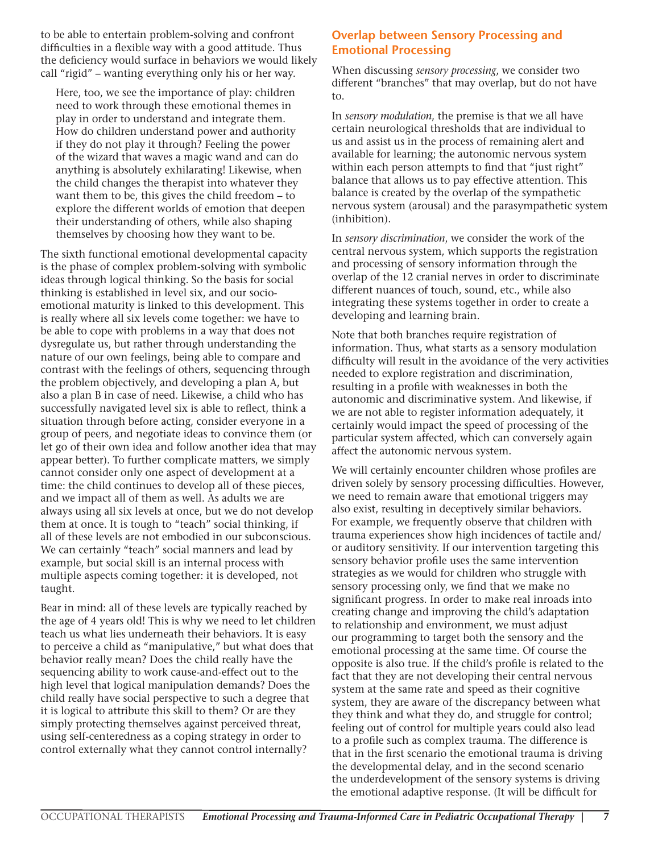to be able to entertain problem-solving and confront difficulties in a flexible way with a good attitude. Thus the deficiency would surface in behaviors we would likely call "rigid" – wanting everything only his or her way.

Here, too, we see the importance of play: children need to work through these emotional themes in play in order to understand and integrate them. How do children understand power and authority if they do not play it through? Feeling the power of the wizard that waves a magic wand and can do anything is absolutely exhilarating! Likewise, when the child changes the therapist into whatever they want them to be, this gives the child freedom – to explore the different worlds of emotion that deepen their understanding of others, while also shaping themselves by choosing how they want to be.

The sixth functional emotional developmental capacity is the phase of complex problem-solving with symbolic ideas through logical thinking. So the basis for social thinking is established in level six, and our socioemotional maturity is linked to this development. This is really where all six levels come together: we have to be able to cope with problems in a way that does not dysregulate us, but rather through understanding the nature of our own feelings, being able to compare and contrast with the feelings of others, sequencing through the problem objectively, and developing a plan A, but also a plan B in case of need. Likewise, a child who has successfully navigated level six is able to reflect, think a situation through before acting, consider everyone in a group of peers, and negotiate ideas to convince them (or let go of their own idea and follow another idea that may appear better). To further complicate matters, we simply cannot consider only one aspect of development at a time: the child continues to develop all of these pieces, and we impact all of them as well. As adults we are always using all six levels at once, but we do not develop them at once. It is tough to "teach" social thinking, if all of these levels are not embodied in our subconscious. We can certainly "teach" social manners and lead by example, but social skill is an internal process with multiple aspects coming together: it is developed, not taught.

Bear in mind: all of these levels are typically reached by the age of 4 years old! This is why we need to let children teach us what lies underneath their behaviors. It is easy to perceive a child as "manipulative," but what does that behavior really mean? Does the child really have the sequencing ability to work cause-and-effect out to the high level that logical manipulation demands? Does the child really have social perspective to such a degree that it is logical to attribute this skill to them? Or are they simply protecting themselves against perceived threat, using self-centeredness as a coping strategy in order to control externally what they cannot control internally?

#### **Overlap between Sensory Processing and Emotional Processing**

When discussing *sensory processing*, we consider two different "branches" that may overlap, but do not have to.

In *sensory modulation*, the premise is that we all have certain neurological thresholds that are individual to us and assist us in the process of remaining alert and available for learning; the autonomic nervous system within each person attempts to find that "just right" balance that allows us to pay effective attention. This balance is created by the overlap of the sympathetic nervous system (arousal) and the parasympathetic system (inhibition).

In *sensory discrimination*, we consider the work of the central nervous system, which supports the registration and processing of sensory information through the overlap of the 12 cranial nerves in order to discriminate different nuances of touch, sound, etc., while also integrating these systems together in order to create a developing and learning brain.

Note that both branches require registration of information. Thus, what starts as a sensory modulation difficulty will result in the avoidance of the very activities needed to explore registration and discrimination, resulting in a profile with weaknesses in both the autonomic and discriminative system. And likewise, if we are not able to register information adequately, it certainly would impact the speed of processing of the particular system affected, which can conversely again affect the autonomic nervous system.

We will certainly encounter children whose profiles are driven solely by sensory processing difficulties. However, we need to remain aware that emotional triggers may also exist, resulting in deceptively similar behaviors. For example, we frequently observe that children with trauma experiences show high incidences of tactile and/ or auditory sensitivity. If our intervention targeting this sensory behavior profile uses the same intervention strategies as we would for children who struggle with sensory processing only, we find that we make no significant progress. In order to make real inroads into creating change and improving the child's adaptation to relationship and environment, we must adjust our programming to target both the sensory and the emotional processing at the same time. Of course the opposite is also true. If the child's profile is related to the fact that they are not developing their central nervous system at the same rate and speed as their cognitive system, they are aware of the discrepancy between what they think and what they do, and struggle for control; feeling out of control for multiple years could also lead to a profile such as complex trauma. The difference is that in the first scenario the emotional trauma is driving the developmental delay, and in the second scenario the underdevelopment of the sensory systems is driving the emotional adaptive response. (It will be difficult for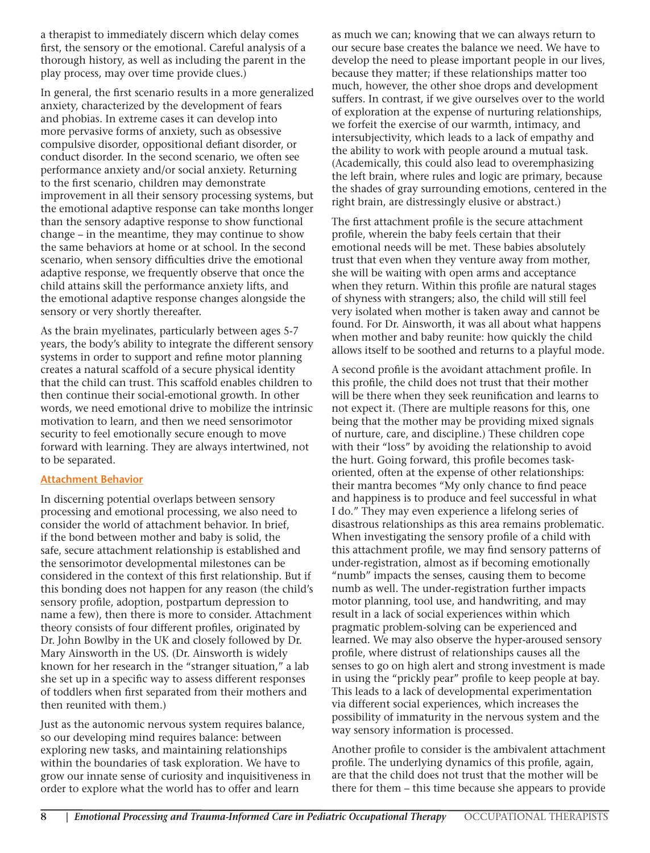a therapist to immediately discern which delay comes first, the sensory or the emotional. Careful analysis of a thorough history, as well as including the parent in the play process, may over time provide clues.)

In general, the first scenario results in a more generalized anxiety, characterized by the development of fears and phobias. In extreme cases it can develop into more pervasive forms of anxiety, such as obsessive compulsive disorder, oppositional defiant disorder, or conduct disorder. In the second scenario, we often see performance anxiety and/or social anxiety. Returning to the first scenario, children may demonstrate improvement in all their sensory processing systems, but the emotional adaptive response can take months longer than the sensory adaptive response to show functional change – in the meantime, they may continue to show the same behaviors at home or at school. In the second scenario, when sensory difficulties drive the emotional adaptive response, we frequently observe that once the child attains skill the performance anxiety lifts, and the emotional adaptive response changes alongside the sensory or very shortly thereafter.

As the brain myelinates, particularly between ages 5-7 years, the body's ability to integrate the different sensory systems in order to support and refine motor planning creates a natural scaffold of a secure physical identity that the child can trust. This scaffold enables children to then continue their social-emotional growth. In other words, we need emotional drive to mobilize the intrinsic motivation to learn, and then we need sensorimotor security to feel emotionally secure enough to move forward with learning. They are always intertwined, not to be separated.

#### **Attachment Behavior**

In discerning potential overlaps between sensory processing and emotional processing, we also need to consider the world of attachment behavior. In brief, if the bond between mother and baby is solid, the safe, secure attachment relationship is established and the sensorimotor developmental milestones can be considered in the context of this first relationship. But if this bonding does not happen for any reason (the child's sensory profile, adoption, postpartum depression to name a few), then there is more to consider. Attachment theory consists of four different profiles, originated by Dr. John Bowlby in the UK and closely followed by Dr. Mary Ainsworth in the US. (Dr. Ainsworth is widely known for her research in the "stranger situation," a lab she set up in a specific way to assess different responses of toddlers when first separated from their mothers and then reunited with them.)

Just as the autonomic nervous system requires balance, so our developing mind requires balance: between exploring new tasks, and maintaining relationships within the boundaries of task exploration. We have to grow our innate sense of curiosity and inquisitiveness in order to explore what the world has to offer and learn

as much we can; knowing that we can always return to our secure base creates the balance we need. We have to develop the need to please important people in our lives, because they matter; if these relationships matter too much, however, the other shoe drops and development suffers. In contrast, if we give ourselves over to the world of exploration at the expense of nurturing relationships, we forfeit the exercise of our warmth, intimacy, and intersubjectivity, which leads to a lack of empathy and the ability to work with people around a mutual task. (Academically, this could also lead to overemphasizing the left brain, where rules and logic are primary, because the shades of gray surrounding emotions, centered in the right brain, are distressingly elusive or abstract.)

The first attachment profile is the secure attachment profile, wherein the baby feels certain that their emotional needs will be met. These babies absolutely trust that even when they venture away from mother, she will be waiting with open arms and acceptance when they return. Within this profile are natural stages of shyness with strangers; also, the child will still feel very isolated when mother is taken away and cannot be found. For Dr. Ainsworth, it was all about what happens when mother and baby reunite: how quickly the child allows itself to be soothed and returns to a playful mode.

A second profile is the avoidant attachment profile. In this profile, the child does not trust that their mother will be there when they seek reunification and learns to not expect it. (There are multiple reasons for this, one being that the mother may be providing mixed signals of nurture, care, and discipline.) These children cope with their "loss" by avoiding the relationship to avoid the hurt. Going forward, this profile becomes taskoriented, often at the expense of other relationships: their mantra becomes "My only chance to find peace and happiness is to produce and feel successful in what I do." They may even experience a lifelong series of disastrous relationships as this area remains problematic. When investigating the sensory profile of a child with this attachment profile, we may find sensory patterns of under-registration, almost as if becoming emotionally "numb" impacts the senses, causing them to become numb as well. The under-registration further impacts motor planning, tool use, and handwriting, and may result in a lack of social experiences within which pragmatic problem-solving can be experienced and learned. We may also observe the hyper-aroused sensory profile, where distrust of relationships causes all the senses to go on high alert and strong investment is made in using the "prickly pear" profile to keep people at bay. This leads to a lack of developmental experimentation via different social experiences, which increases the possibility of immaturity in the nervous system and the way sensory information is processed.

Another profile to consider is the ambivalent attachment profile. The underlying dynamics of this profile, again, are that the child does not trust that the mother will be there for them – this time because she appears to provide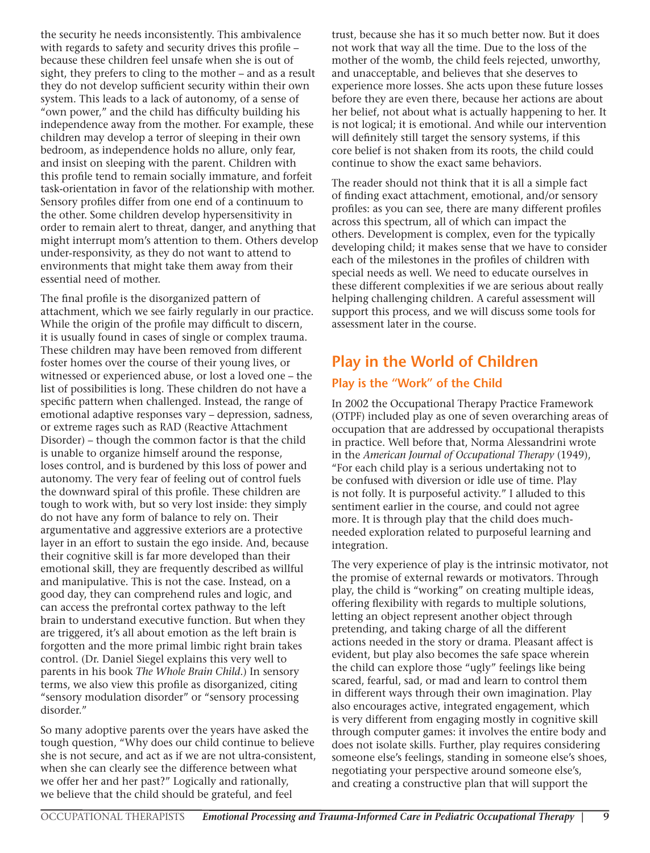the security he needs inconsistently. This ambivalence with regards to safety and security drives this profile – because these children feel unsafe when she is out of sight, they prefers to cling to the mother – and as a result they do not develop sufficient security within their own system. This leads to a lack of autonomy, of a sense of "own power," and the child has difficulty building his independence away from the mother. For example, these children may develop a terror of sleeping in their own bedroom, as independence holds no allure, only fear, and insist on sleeping with the parent. Children with this profile tend to remain socially immature, and forfeit task-orientation in favor of the relationship with mother. Sensory profiles differ from one end of a continuum to the other. Some children develop hypersensitivity in order to remain alert to threat, danger, and anything that might interrupt mom's attention to them. Others develop under-responsivity, as they do not want to attend to environments that might take them away from their essential need of mother.

The final profile is the disorganized pattern of attachment, which we see fairly regularly in our practice. While the origin of the profile may difficult to discern, it is usually found in cases of single or complex trauma. These children may have been removed from different foster homes over the course of their young lives, or witnessed or experienced abuse, or lost a loved one – the list of possibilities is long. These children do not have a specific pattern when challenged. Instead, the range of emotional adaptive responses vary – depression, sadness, or extreme rages such as RAD (Reactive Attachment Disorder) – though the common factor is that the child is unable to organize himself around the response, loses control, and is burdened by this loss of power and autonomy. The very fear of feeling out of control fuels the downward spiral of this profile. These children are tough to work with, but so very lost inside: they simply do not have any form of balance to rely on. Their argumentative and aggressive exteriors are a protective layer in an effort to sustain the ego inside. And, because their cognitive skill is far more developed than their emotional skill, they are frequently described as willful and manipulative. This is not the case. Instead, on a good day, they can comprehend rules and logic, and can access the prefrontal cortex pathway to the left brain to understand executive function. But when they are triggered, it's all about emotion as the left brain is forgotten and the more primal limbic right brain takes control. (Dr. Daniel Siegel explains this very well to parents in his book *The Whole Brain Child*.) In sensory terms, we also view this profile as disorganized, citing "sensory modulation disorder" or "sensory processing disorder."

So many adoptive parents over the years have asked the tough question, "Why does our child continue to believe she is not secure, and act as if we are not ultra-consistent, when she can clearly see the difference between what we offer her and her past?" Logically and rationally, we believe that the child should be grateful, and feel

trust, because she has it so much better now. But it does not work that way all the time. Due to the loss of the mother of the womb, the child feels rejected, unworthy, and unacceptable, and believes that she deserves to experience more losses. She acts upon these future losses before they are even there, because her actions are about her belief, not about what is actually happening to her. It is not logical; it is emotional. And while our intervention will definitely still target the sensory systems, if this core belief is not shaken from its roots, the child could continue to show the exact same behaviors.

The reader should not think that it is all a simple fact of finding exact attachment, emotional, and/or sensory profiles: as you can see, there are many different profiles across this spectrum, all of which can impact the others. Development is complex, even for the typically developing child; it makes sense that we have to consider each of the milestones in the profiles of children with special needs as well. We need to educate ourselves in these different complexities if we are serious about really helping challenging children. A careful assessment will support this process, and we will discuss some tools for assessment later in the course.

## **Play in the World of Children**

#### **Play is the "Work" of the Child**

In 2002 the Occupational Therapy Practice Framework (OTPF) included play as one of seven overarching areas of occupation that are addressed by occupational therapists in practice. Well before that, Norma Alessandrini wrote in the *American Journal of Occupational Therapy* (1949), "For each child play is a serious undertaking not to be confused with diversion or idle use of time. Play is not folly. It is purposeful activity." I alluded to this sentiment earlier in the course, and could not agree more. It is through play that the child does muchneeded exploration related to purposeful learning and integration.

The very experience of play is the intrinsic motivator, not the promise of external rewards or motivators. Through play, the child is "working" on creating multiple ideas, offering flexibility with regards to multiple solutions, letting an object represent another object through pretending, and taking charge of all the different actions needed in the story or drama. Pleasant affect is evident, but play also becomes the safe space wherein the child can explore those "ugly" feelings like being scared, fearful, sad, or mad and learn to control them in different ways through their own imagination. Play also encourages active, integrated engagement, which is very different from engaging mostly in cognitive skill through computer games: it involves the entire body and does not isolate skills. Further, play requires considering someone else's feelings, standing in someone else's shoes, negotiating your perspective around someone else's, and creating a constructive plan that will support the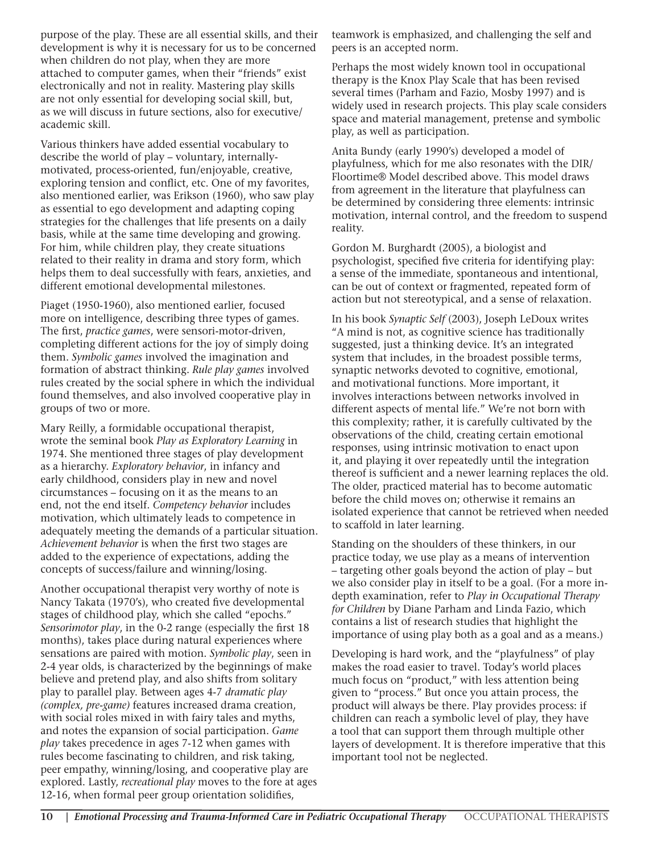purpose of the play. These are all essential skills, and their development is why it is necessary for us to be concerned when children do not play, when they are more attached to computer games, when their "friends" exist electronically and not in reality. Mastering play skills are not only essential for developing social skill, but, as we will discuss in future sections, also for executive/ academic skill.

Various thinkers have added essential vocabulary to describe the world of play – voluntary, internallymotivated, process-oriented, fun/enjoyable, creative, exploring tension and conflict, etc. One of my favorites, also mentioned earlier, was Erikson (1960), who saw play as essential to ego development and adapting coping strategies for the challenges that life presents on a daily basis, while at the same time developing and growing. For him, while children play, they create situations related to their reality in drama and story form, which helps them to deal successfully with fears, anxieties, and different emotional developmental milestones.

Piaget (1950-1960), also mentioned earlier, focused more on intelligence, describing three types of games. The first, *practice games*, were sensori-motor-driven, completing different actions for the joy of simply doing them. *Symbolic games* involved the imagination and formation of abstract thinking. *Rule play games* involved rules created by the social sphere in which the individual found themselves, and also involved cooperative play in groups of two or more.

Mary Reilly, a formidable occupational therapist, wrote the seminal book *Play as Exploratory Learning* in 1974. She mentioned three stages of play development as a hierarchy. *Exploratory behavior*, in infancy and early childhood, considers play in new and novel circumstances – focusing on it as the means to an end, not the end itself. *Competency behavior* includes motivation, which ultimately leads to competence in adequately meeting the demands of a particular situation. *Achievement behavior* is when the first two stages are added to the experience of expectations, adding the concepts of success/failure and winning/losing.

Another occupational therapist very worthy of note is Nancy Takata (1970's), who created five developmental stages of childhood play, which she called "epochs." *Sensorimotor play*, in the 0-2 range (especially the first 18 months), takes place during natural experiences where sensations are paired with motion. *Symbolic play*, seen in 2-4 year olds, is characterized by the beginnings of make believe and pretend play, and also shifts from solitary play to parallel play. Between ages 4-7 *dramatic play (complex, pre-game)* features increased drama creation, with social roles mixed in with fairy tales and myths, and notes the expansion of social participation. *Game play* takes precedence in ages 7-12 when games with rules become fascinating to children, and risk taking, peer empathy, winning/losing, and cooperative play are explored. Lastly, *recreational play* moves to the fore at ages 12-16, when formal peer group orientation solidifies,

teamwork is emphasized, and challenging the self and peers is an accepted norm.

Perhaps the most widely known tool in occupational therapy is the Knox Play Scale that has been revised several times (Parham and Fazio, Mosby 1997) and is widely used in research projects. This play scale considers space and material management, pretense and symbolic play, as well as participation.

Anita Bundy (early 1990's) developed a model of playfulness, which for me also resonates with the DIR/ Floortime® Model described above. This model draws from agreement in the literature that playfulness can be determined by considering three elements: intrinsic motivation, internal control, and the freedom to suspend reality.

Gordon M. Burghardt (2005), a biologist and psychologist, specified five criteria for identifying play: a sense of the immediate, spontaneous and intentional, can be out of context or fragmented, repeated form of action but not stereotypical, and a sense of relaxation.

In his book *Synaptic Self* (2003), Joseph LeDoux writes "A mind is not, as cognitive science has traditionally suggested, just a thinking device. It's an integrated system that includes, in the broadest possible terms, synaptic networks devoted to cognitive, emotional, and motivational functions. More important, it involves interactions between networks involved in different aspects of mental life." We're not born with this complexity; rather, it is carefully cultivated by the observations of the child, creating certain emotional responses, using intrinsic motivation to enact upon it, and playing it over repeatedly until the integration thereof is sufficient and a newer learning replaces the old. The older, practiced material has to become automatic before the child moves on; otherwise it remains an isolated experience that cannot be retrieved when needed to scaffold in later learning.

Standing on the shoulders of these thinkers, in our practice today, we use play as a means of intervention – targeting other goals beyond the action of play – but we also consider play in itself to be a goal. (For a more indepth examination, refer to *Play in Occupational Therapy for Children* by Diane Parham and Linda Fazio, which contains a list of research studies that highlight the importance of using play both as a goal and as a means.)

Developing is hard work, and the "playfulness" of play makes the road easier to travel. Today's world places much focus on "product," with less attention being given to "process." But once you attain process, the product will always be there. Play provides process: if children can reach a symbolic level of play, they have a tool that can support them through multiple other layers of development. It is therefore imperative that this important tool not be neglected.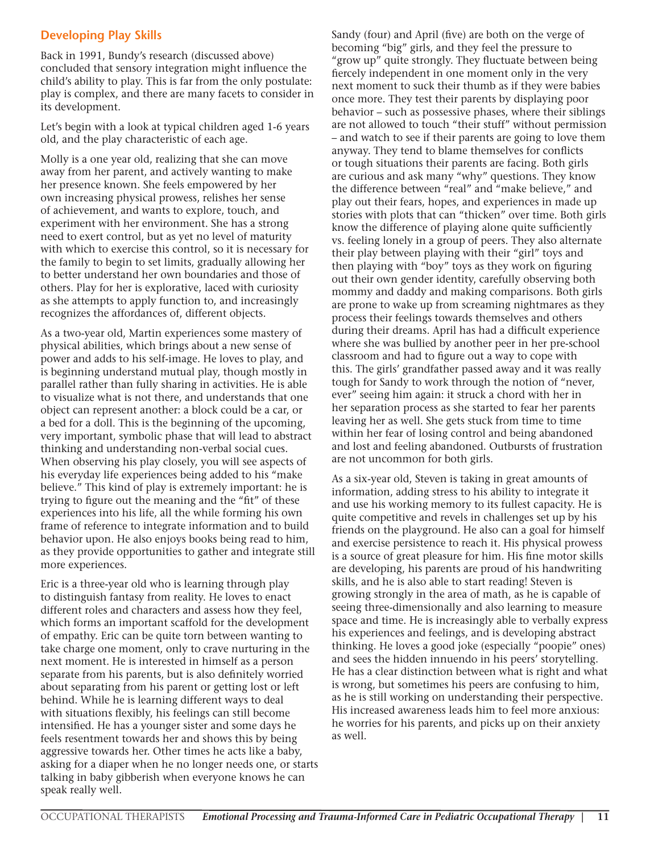#### **Developing Play Skills**

Back in 1991, Bundy's research (discussed above) concluded that sensory integration might influence the child's ability to play. This is far from the only postulate: play is complex, and there are many facets to consider in its development.

Let's begin with a look at typical children aged 1-6 years old, and the play characteristic of each age.

Molly is a one year old, realizing that she can move away from her parent, and actively wanting to make her presence known. She feels empowered by her own increasing physical prowess, relishes her sense of achievement, and wants to explore, touch, and experiment with her environment. She has a strong need to exert control, but as yet no level of maturity with which to exercise this control, so it is necessary for the family to begin to set limits, gradually allowing her to better understand her own boundaries and those of others. Play for her is explorative, laced with curiosity as she attempts to apply function to, and increasingly recognizes the affordances of, different objects.

As a two-year old, Martin experiences some mastery of physical abilities, which brings about a new sense of power and adds to his self-image. He loves to play, and is beginning understand mutual play, though mostly in parallel rather than fully sharing in activities. He is able to visualize what is not there, and understands that one object can represent another: a block could be a car, or a bed for a doll. This is the beginning of the upcoming, very important, symbolic phase that will lead to abstract thinking and understanding non-verbal social cues. When observing his play closely, you will see aspects of his everyday life experiences being added to his "make believe." This kind of play is extremely important: he is trying to figure out the meaning and the "fit" of these experiences into his life, all the while forming his own frame of reference to integrate information and to build behavior upon. He also enjoys books being read to him, as they provide opportunities to gather and integrate still more experiences.

Eric is a three-year old who is learning through play to distinguish fantasy from reality. He loves to enact different roles and characters and assess how they feel, which forms an important scaffold for the development of empathy. Eric can be quite torn between wanting to take charge one moment, only to crave nurturing in the next moment. He is interested in himself as a person separate from his parents, but is also definitely worried about separating from his parent or getting lost or left behind. While he is learning different ways to deal with situations flexibly, his feelings can still become intensified. He has a younger sister and some days he feels resentment towards her and shows this by being aggressive towards her. Other times he acts like a baby, asking for a diaper when he no longer needs one, or starts talking in baby gibberish when everyone knows he can speak really well.

Sandy (four) and April (five) are both on the verge of becoming "big" girls, and they feel the pressure to "grow up" quite strongly. They fluctuate between being fiercely independent in one moment only in the very next moment to suck their thumb as if they were babies once more. They test their parents by displaying poor behavior – such as possessive phases, where their siblings are not allowed to touch "their stuff" without permission – and watch to see if their parents are going to love them anyway. They tend to blame themselves for conflicts or tough situations their parents are facing. Both girls are curious and ask many "why" questions. They know the difference between "real" and "make believe," and play out their fears, hopes, and experiences in made up stories with plots that can "thicken" over time. Both girls know the difference of playing alone quite sufficiently vs. feeling lonely in a group of peers. They also alternate their play between playing with their "girl" toys and then playing with "boy" toys as they work on figuring out their own gender identity, carefully observing both mommy and daddy and making comparisons. Both girls are prone to wake up from screaming nightmares as they process their feelings towards themselves and others during their dreams. April has had a difficult experience where she was bullied by another peer in her pre-school classroom and had to figure out a way to cope with this. The girls' grandfather passed away and it was really tough for Sandy to work through the notion of "never, ever" seeing him again: it struck a chord with her in her separation process as she started to fear her parents leaving her as well. She gets stuck from time to time within her fear of losing control and being abandoned and lost and feeling abandoned. Outbursts of frustration are not uncommon for both girls.

As a six-year old, Steven is taking in great amounts of information, adding stress to his ability to integrate it and use his working memory to its fullest capacity. He is quite competitive and revels in challenges set up by his friends on the playground. He also can a goal for himself and exercise persistence to reach it. His physical prowess is a source of great pleasure for him. His fine motor skills are developing, his parents are proud of his handwriting skills, and he is also able to start reading! Steven is growing strongly in the area of math, as he is capable of seeing three-dimensionally and also learning to measure space and time. He is increasingly able to verbally express his experiences and feelings, and is developing abstract thinking. He loves a good joke (especially "poopie" ones) and sees the hidden innuendo in his peers' storytelling. He has a clear distinction between what is right and what is wrong, but sometimes his peers are confusing to him, as he is still working on understanding their perspective. His increased awareness leads him to feel more anxious: he worries for his parents, and picks up on their anxiety as well.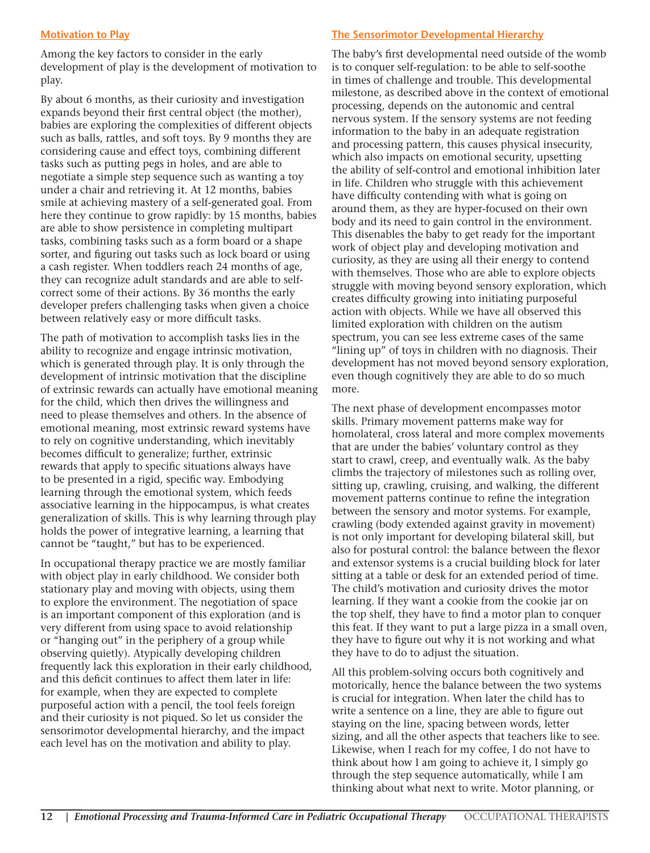#### **Motivation to Play**

Among the key factors to consider in the early development of play is the development of motivation to play.

By about 6 months, as their curiosity and investigation expands beyond their first central object (the mother), babies are exploring the complexities of different objects such as balls, rattles, and soft toys. By 9 months they are considering cause and effect toys, combining different tasks such as putting pegs in holes, and are able to negotiate a simple step sequence such as wanting a toy under a chair and retrieving it. At 12 months, babies smile at achieving mastery of a self-generated goal. From here they continue to grow rapidly: by 15 months, babies are able to show persistence in completing multipart tasks, combining tasks such as a form board or a shape sorter, and figuring out tasks such as lock board or using a cash register. When toddlers reach 24 months of age, they can recognize adult standards and are able to selfcorrect some of their actions. By 36 months the early developer prefers challenging tasks when given a choice between relatively easy or more difficult tasks.

The path of motivation to accomplish tasks lies in the ability to recognize and engage intrinsic motivation, which is generated through play. It is only through the development of intrinsic motivation that the discipline of extrinsic rewards can actually have emotional meaning for the child, which then drives the willingness and need to please themselves and others. In the absence of emotional meaning, most extrinsic reward systems have to rely on cognitive understanding, which inevitably becomes difficult to generalize; further, extrinsic rewards that apply to specific situations always have to be presented in a rigid, specific way. Embodying learning through the emotional system, which feeds associative learning in the hippocampus, is what creates generalization of skills. This is why learning through play holds the power of integrative learning, a learning that cannot be "taught," but has to be experienced.

In occupational therapy practice we are mostly familiar with object play in early childhood. We consider both stationary play and moving with objects, using them to explore the environment. The negotiation of space is an important component of this exploration (and is very different from using space to avoid relationship or "hanging out" in the periphery of a group while observing quietly). Atypically developing children frequently lack this exploration in their early childhood, and this deficit continues to affect them later in life: for example, when they are expected to complete purposeful action with a pencil, the tool feels foreign and their curiosity is not piqued. So let us consider the sensorimotor developmental hierarchy, and the impact each level has on the motivation and ability to play.

#### **The Sensorimotor Developmental Hierarchy**

The baby's first developmental need outside of the womb is to conquer self-regulation: to be able to self-soothe in times of challenge and trouble. This developmental milestone, as described above in the context of emotional processing, depends on the autonomic and central nervous system. If the sensory systems are not feeding information to the baby in an adequate registration and processing pattern, this causes physical insecurity, which also impacts on emotional security, upsetting the ability of self-control and emotional inhibition later in life. Children who struggle with this achievement have difficulty contending with what is going on around them, as they are hyper-focused on their own body and its need to gain control in the environment. This disenables the baby to get ready for the important work of object play and developing motivation and curiosity, as they are using all their energy to contend with themselves. Those who are able to explore objects struggle with moving beyond sensory exploration, which creates difficulty growing into initiating purposeful action with objects. While we have all observed this limited exploration with children on the autism spectrum, you can see less extreme cases of the same "lining up" of toys in children with no diagnosis. Their development has not moved beyond sensory exploration, even though cognitively they are able to do so much more.

The next phase of development encompasses motor skills. Primary movement patterns make way for homolateral, cross lateral and more complex movements that are under the babies' voluntary control as they start to crawl, creep, and eventually walk. As the baby climbs the trajectory of milestones such as rolling over, sitting up, crawling, cruising, and walking, the different movement patterns continue to refine the integration between the sensory and motor systems. For example, crawling (body extended against gravity in movement) is not only important for developing bilateral skill, but also for postural control: the balance between the flexor and extensor systems is a crucial building block for later sitting at a table or desk for an extended period of time. The child's motivation and curiosity drives the motor learning. If they want a cookie from the cookie jar on the top shelf, they have to find a motor plan to conquer this feat. If they want to put a large pizza in a small oven, they have to figure out why it is not working and what they have to do to adjust the situation.

All this problem-solving occurs both cognitively and motorically, hence the balance between the two systems is crucial for integration. When later the child has to write a sentence on a line, they are able to figure out staying on the line, spacing between words, letter sizing, and all the other aspects that teachers like to see. Likewise, when I reach for my coffee, I do not have to think about how I am going to achieve it, I simply go through the step sequence automatically, while I am thinking about what next to write. Motor planning, or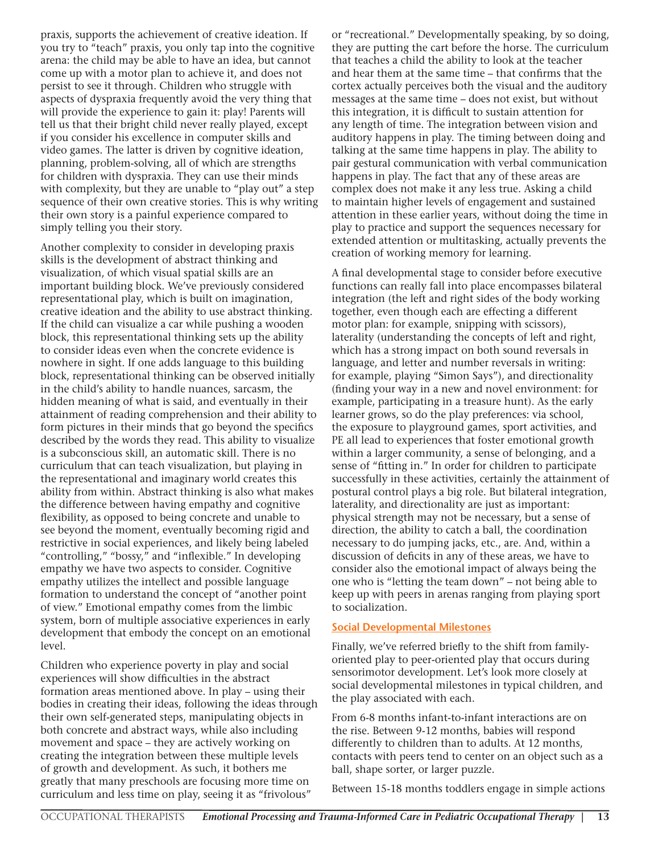praxis, supports the achievement of creative ideation. If you try to "teach" praxis, you only tap into the cognitive arena: the child may be able to have an idea, but cannot come up with a motor plan to achieve it, and does not persist to see it through. Children who struggle with aspects of dyspraxia frequently avoid the very thing that will provide the experience to gain it: play! Parents will tell us that their bright child never really played, except if you consider his excellence in computer skills and video games. The latter is driven by cognitive ideation, planning, problem-solving, all of which are strengths for children with dyspraxia. They can use their minds with complexity, but they are unable to "play out" a step sequence of their own creative stories. This is why writing their own story is a painful experience compared to simply telling you their story.

Another complexity to consider in developing praxis skills is the development of abstract thinking and visualization, of which visual spatial skills are an important building block. We've previously considered representational play, which is built on imagination, creative ideation and the ability to use abstract thinking. If the child can visualize a car while pushing a wooden block, this representational thinking sets up the ability to consider ideas even when the concrete evidence is nowhere in sight. If one adds language to this building block, representational thinking can be observed initially in the child's ability to handle nuances, sarcasm, the hidden meaning of what is said, and eventually in their attainment of reading comprehension and their ability to form pictures in their minds that go beyond the specifics described by the words they read. This ability to visualize is a subconscious skill, an automatic skill. There is no curriculum that can teach visualization, but playing in the representational and imaginary world creates this ability from within. Abstract thinking is also what makes the difference between having empathy and cognitive flexibility, as opposed to being concrete and unable to see beyond the moment, eventually becoming rigid and restrictive in social experiences, and likely being labeled "controlling," "bossy," and "inflexible." In developing empathy we have two aspects to consider. Cognitive empathy utilizes the intellect and possible language formation to understand the concept of "another point of view." Emotional empathy comes from the limbic system, born of multiple associative experiences in early development that embody the concept on an emotional level.

Children who experience poverty in play and social experiences will show difficulties in the abstract formation areas mentioned above. In play – using their bodies in creating their ideas, following the ideas through their own self-generated steps, manipulating objects in both concrete and abstract ways, while also including movement and space – they are actively working on creating the integration between these multiple levels of growth and development. As such, it bothers me greatly that many preschools are focusing more time on curriculum and less time on play, seeing it as "frivolous"

or "recreational." Developmentally speaking, by so doing, they are putting the cart before the horse. The curriculum that teaches a child the ability to look at the teacher and hear them at the same time – that confirms that the cortex actually perceives both the visual and the auditory messages at the same time – does not exist, but without this integration, it is difficult to sustain attention for any length of time. The integration between vision and auditory happens in play. The timing between doing and talking at the same time happens in play. The ability to pair gestural communication with verbal communication happens in play. The fact that any of these areas are complex does not make it any less true. Asking a child to maintain higher levels of engagement and sustained attention in these earlier years, without doing the time in play to practice and support the sequences necessary for extended attention or multitasking, actually prevents the creation of working memory for learning.

A final developmental stage to consider before executive functions can really fall into place encompasses bilateral integration (the left and right sides of the body working together, even though each are effecting a different motor plan: for example, snipping with scissors), laterality (understanding the concepts of left and right, which has a strong impact on both sound reversals in language, and letter and number reversals in writing: for example, playing "Simon Says"), and directionality (finding your way in a new and novel environment: for example, participating in a treasure hunt). As the early learner grows, so do the play preferences: via school, the exposure to playground games, sport activities, and PE all lead to experiences that foster emotional growth within a larger community, a sense of belonging, and a sense of "fitting in." In order for children to participate successfully in these activities, certainly the attainment of postural control plays a big role. But bilateral integration, laterality, and directionality are just as important: physical strength may not be necessary, but a sense of direction, the ability to catch a ball, the coordination necessary to do jumping jacks, etc., are. And, within a discussion of deficits in any of these areas, we have to consider also the emotional impact of always being the one who is "letting the team down" – not being able to keep up with peers in arenas ranging from playing sport to socialization.

#### **Social Developmental Milestones**

Finally, we've referred briefly to the shift from familyoriented play to peer-oriented play that occurs during sensorimotor development. Let's look more closely at social developmental milestones in typical children, and the play associated with each.

From 6-8 months infant-to-infant interactions are on the rise. Between 9-12 months, babies will respond differently to children than to adults. At 12 months, contacts with peers tend to center on an object such as a ball, shape sorter, or larger puzzle.

Between 15-18 months toddlers engage in simple actions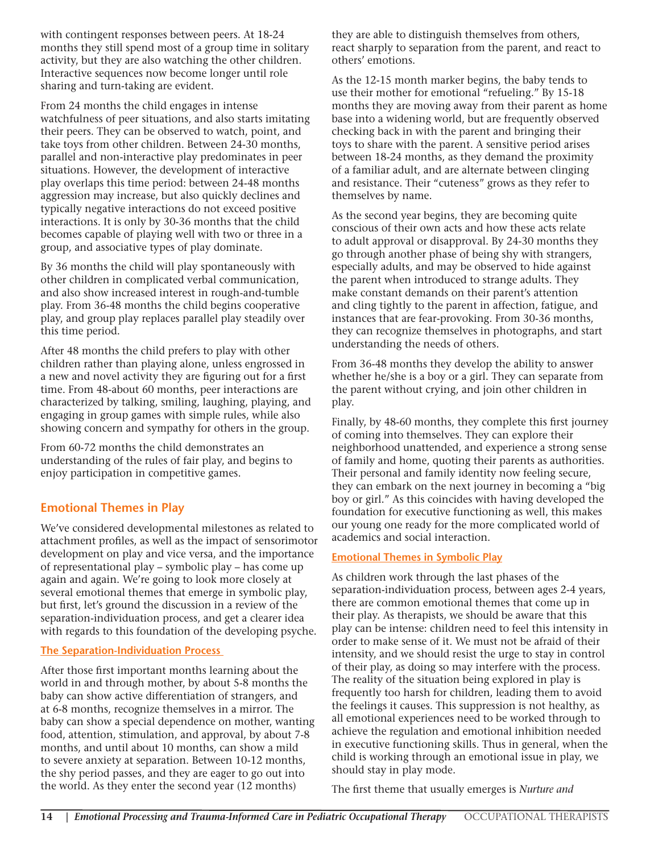with contingent responses between peers. At 18-24 months they still spend most of a group time in solitary activity, but they are also watching the other children. Interactive sequences now become longer until role sharing and turn-taking are evident.

From 24 months the child engages in intense watchfulness of peer situations, and also starts imitating their peers. They can be observed to watch, point, and take toys from other children. Between 24-30 months, parallel and non-interactive play predominates in peer situations. However, the development of interactive play overlaps this time period: between 24-48 months aggression may increase, but also quickly declines and typically negative interactions do not exceed positive interactions. It is only by 30-36 months that the child becomes capable of playing well with two or three in a group, and associative types of play dominate.

By 36 months the child will play spontaneously with other children in complicated verbal communication, and also show increased interest in rough-and-tumble play. From 36-48 months the child begins cooperative play, and group play replaces parallel play steadily over this time period.

After 48 months the child prefers to play with other children rather than playing alone, unless engrossed in a new and novel activity they are figuring out for a first time. From 48-about 60 months, peer interactions are characterized by talking, smiling, laughing, playing, and engaging in group games with simple rules, while also showing concern and sympathy for others in the group.

From 60-72 months the child demonstrates an understanding of the rules of fair play, and begins to enjoy participation in competitive games.

#### **Emotional Themes in Play**

We've considered developmental milestones as related to attachment profiles, as well as the impact of sensorimotor development on play and vice versa, and the importance of representational play – symbolic play – has come up again and again. We're going to look more closely at several emotional themes that emerge in symbolic play, but first, let's ground the discussion in a review of the separation-individuation process, and get a clearer idea with regards to this foundation of the developing psyche.

#### **The Separation-Individuation Process**

After those first important months learning about the world in and through mother, by about 5-8 months the baby can show active differentiation of strangers, and at 6-8 months, recognize themselves in a mirror. The baby can show a special dependence on mother, wanting food, attention, stimulation, and approval, by about 7-8 months, and until about 10 months, can show a mild to severe anxiety at separation. Between 10-12 months, the shy period passes, and they are eager to go out into the world. As they enter the second year (12 months)

they are able to distinguish themselves from others, react sharply to separation from the parent, and react to others' emotions.

As the 12-15 month marker begins, the baby tends to use their mother for emotional "refueling." By 15-18 months they are moving away from their parent as home base into a widening world, but are frequently observed checking back in with the parent and bringing their toys to share with the parent. A sensitive period arises between 18-24 months, as they demand the proximity of a familiar adult, and are alternate between clinging and resistance. Their "cuteness" grows as they refer to themselves by name.

As the second year begins, they are becoming quite conscious of their own acts and how these acts relate to adult approval or disapproval. By 24-30 months they go through another phase of being shy with strangers, especially adults, and may be observed to hide against the parent when introduced to strange adults. They make constant demands on their parent's attention and cling tightly to the parent in affection, fatigue, and instances that are fear-provoking. From 30-36 months, they can recognize themselves in photographs, and start understanding the needs of others.

From 36-48 months they develop the ability to answer whether he/she is a boy or a girl. They can separate from the parent without crying, and join other children in play.

Finally, by 48-60 months, they complete this first journey of coming into themselves. They can explore their neighborhood unattended, and experience a strong sense of family and home, quoting their parents as authorities. Their personal and family identity now feeling secure, they can embark on the next journey in becoming a "big boy or girl." As this coincides with having developed the foundation for executive functioning as well, this makes our young one ready for the more complicated world of academics and social interaction.

#### **Emotional Themes in Symbolic Play**

As children work through the last phases of the separation-individuation process, between ages 2-4 years, there are common emotional themes that come up in their play. As therapists, we should be aware that this play can be intense: children need to feel this intensity in order to make sense of it. We must not be afraid of their intensity, and we should resist the urge to stay in control of their play, as doing so may interfere with the process. The reality of the situation being explored in play is frequently too harsh for children, leading them to avoid the feelings it causes. This suppression is not healthy, as all emotional experiences need to be worked through to achieve the regulation and emotional inhibition needed in executive functioning skills. Thus in general, when the child is working through an emotional issue in play, we should stay in play mode.

The first theme that usually emerges is *Nurture and*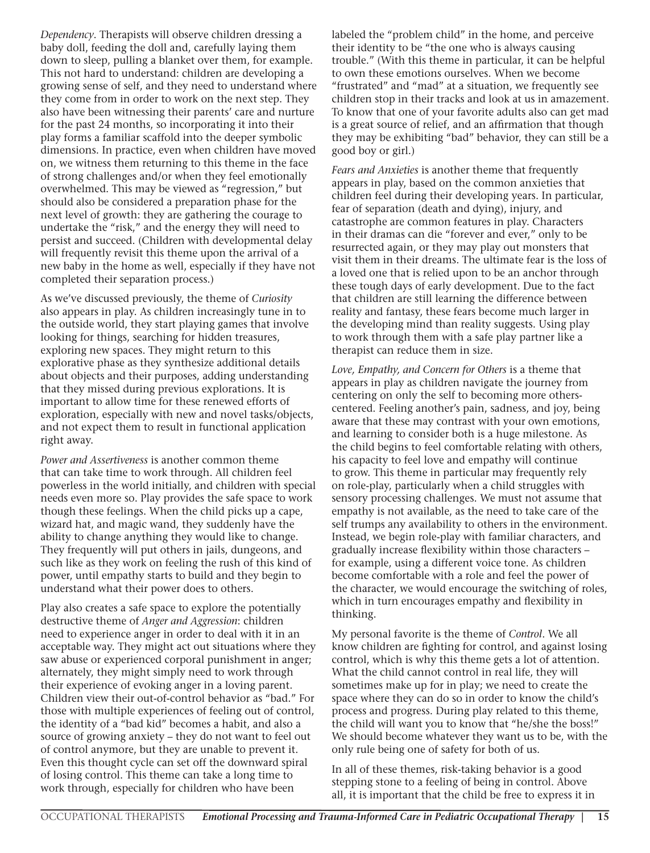*Dependency*. Therapists will observe children dressing a baby doll, feeding the doll and, carefully laying them down to sleep, pulling a blanket over them, for example. This not hard to understand: children are developing a growing sense of self, and they need to understand where they come from in order to work on the next step. They also have been witnessing their parents' care and nurture for the past 24 months, so incorporating it into their play forms a familiar scaffold into the deeper symbolic dimensions. In practice, even when children have moved on, we witness them returning to this theme in the face of strong challenges and/or when they feel emotionally overwhelmed. This may be viewed as "regression," but should also be considered a preparation phase for the next level of growth: they are gathering the courage to undertake the "risk," and the energy they will need to persist and succeed. (Children with developmental delay will frequently revisit this theme upon the arrival of a new baby in the home as well, especially if they have not completed their separation process.)

As we've discussed previously, the theme of *Curiosity*  also appears in play. As children increasingly tune in to the outside world, they start playing games that involve looking for things, searching for hidden treasures, exploring new spaces. They might return to this explorative phase as they synthesize additional details about objects and their purposes, adding understanding that they missed during previous explorations. It is important to allow time for these renewed efforts of exploration, especially with new and novel tasks/objects, and not expect them to result in functional application right away.

*Power and Assertiveness* is another common theme that can take time to work through. All children feel powerless in the world initially, and children with special needs even more so. Play provides the safe space to work though these feelings. When the child picks up a cape, wizard hat, and magic wand, they suddenly have the ability to change anything they would like to change. They frequently will put others in jails, dungeons, and such like as they work on feeling the rush of this kind of power, until empathy starts to build and they begin to understand what their power does to others.

Play also creates a safe space to explore the potentially destructive theme of *Anger and Aggression*: children need to experience anger in order to deal with it in an acceptable way. They might act out situations where they saw abuse or experienced corporal punishment in anger; alternately, they might simply need to work through their experience of evoking anger in a loving parent. Children view their out-of-control behavior as "bad." For those with multiple experiences of feeling out of control, the identity of a "bad kid" becomes a habit, and also a source of growing anxiety – they do not want to feel out of control anymore, but they are unable to prevent it. Even this thought cycle can set off the downward spiral of losing control. This theme can take a long time to work through, especially for children who have been

labeled the "problem child" in the home, and perceive their identity to be "the one who is always causing trouble." (With this theme in particular, it can be helpful to own these emotions ourselves. When we become "frustrated" and "mad" at a situation, we frequently see children stop in their tracks and look at us in amazement. To know that one of your favorite adults also can get mad is a great source of relief, and an affirmation that though they may be exhibiting "bad" behavior, they can still be a good boy or girl.)

*Fears and Anxieties* is another theme that frequently appears in play, based on the common anxieties that children feel during their developing years. In particular, fear of separation (death and dying), injury, and catastrophe are common features in play. Characters in their dramas can die "forever and ever," only to be resurrected again, or they may play out monsters that visit them in their dreams. The ultimate fear is the loss of a loved one that is relied upon to be an anchor through these tough days of early development. Due to the fact that children are still learning the difference between reality and fantasy, these fears become much larger in the developing mind than reality suggests. Using play to work through them with a safe play partner like a therapist can reduce them in size.

*Love, Empathy, and Concern for Others* is a theme that appears in play as children navigate the journey from centering on only the self to becoming more otherscentered. Feeling another's pain, sadness, and joy, being aware that these may contrast with your own emotions, and learning to consider both is a huge milestone. As the child begins to feel comfortable relating with others, his capacity to feel love and empathy will continue to grow. This theme in particular may frequently rely on role-play, particularly when a child struggles with sensory processing challenges. We must not assume that empathy is not available, as the need to take care of the self trumps any availability to others in the environment. Instead, we begin role-play with familiar characters, and gradually increase flexibility within those characters – for example, using a different voice tone. As children become comfortable with a role and feel the power of the character, we would encourage the switching of roles, which in turn encourages empathy and flexibility in thinking.

My personal favorite is the theme of *Control*. We all know children are fighting for control, and against losing control, which is why this theme gets a lot of attention. What the child cannot control in real life, they will sometimes make up for in play; we need to create the space where they can do so in order to know the child's process and progress. During play related to this theme, the child will want you to know that "he/she the boss!" We should become whatever they want us to be, with the only rule being one of safety for both of us.

In all of these themes, risk-taking behavior is a good stepping stone to a feeling of being in control. Above all, it is important that the child be free to express it in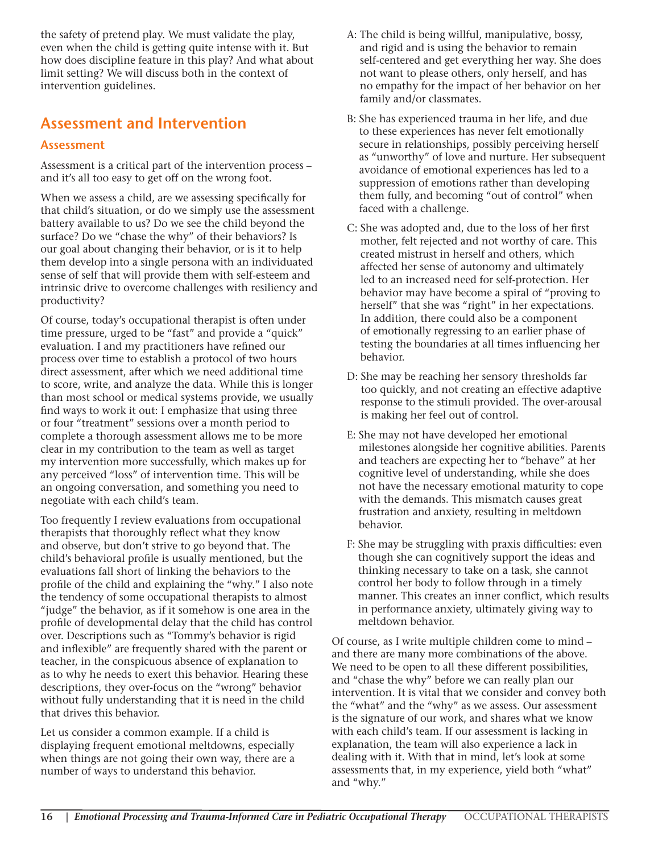the safety of pretend play. We must validate the play, even when the child is getting quite intense with it. But how does discipline feature in this play? And what about limit setting? We will discuss both in the context of intervention guidelines.

## **Assessment and Intervention**

#### **Assessment**

Assessment is a critical part of the intervention process – and it's all too easy to get off on the wrong foot.

When we assess a child, are we assessing specifically for that child's situation, or do we simply use the assessment battery available to us? Do we see the child beyond the surface? Do we "chase the why" of their behaviors? Is our goal about changing their behavior, or is it to help them develop into a single persona with an individuated sense of self that will provide them with self-esteem and intrinsic drive to overcome challenges with resiliency and productivity?

Of course, today's occupational therapist is often under time pressure, urged to be "fast" and provide a "quick" evaluation. I and my practitioners have refined our process over time to establish a protocol of two hours direct assessment, after which we need additional time to score, write, and analyze the data. While this is longer than most school or medical systems provide, we usually find ways to work it out: I emphasize that using three or four "treatment" sessions over a month period to complete a thorough assessment allows me to be more clear in my contribution to the team as well as target my intervention more successfully, which makes up for any perceived "loss" of intervention time. This will be an ongoing conversation, and something you need to negotiate with each child's team.

Too frequently I review evaluations from occupational therapists that thoroughly reflect what they know and observe, but don't strive to go beyond that. The child's behavioral profile is usually mentioned, but the evaluations fall short of linking the behaviors to the profile of the child and explaining the "why." I also note the tendency of some occupational therapists to almost "judge" the behavior, as if it somehow is one area in the profile of developmental delay that the child has control over. Descriptions such as "Tommy's behavior is rigid and inflexible" are frequently shared with the parent or teacher, in the conspicuous absence of explanation to as to why he needs to exert this behavior. Hearing these descriptions, they over-focus on the "wrong" behavior without fully understanding that it is need in the child that drives this behavior.

Let us consider a common example. If a child is displaying frequent emotional meltdowns, especially when things are not going their own way, there are a number of ways to understand this behavior.

- A: The child is being willful, manipulative, bossy, and rigid and is using the behavior to remain self-centered and get everything her way. She does not want to please others, only herself, and has no empathy for the impact of her behavior on her family and/or classmates.
- B: She has experienced trauma in her life, and due to these experiences has never felt emotionally secure in relationships, possibly perceiving herself as "unworthy" of love and nurture. Her subsequent avoidance of emotional experiences has led to a suppression of emotions rather than developing them fully, and becoming "out of control" when faced with a challenge.
- C: She was adopted and, due to the loss of her first mother, felt rejected and not worthy of care. This created mistrust in herself and others, which affected her sense of autonomy and ultimately led to an increased need for self-protection. Her behavior may have become a spiral of "proving to herself" that she was "right" in her expectations. In addition, there could also be a component of emotionally regressing to an earlier phase of testing the boundaries at all times influencing her behavior.
- D: She may be reaching her sensory thresholds far too quickly, and not creating an effective adaptive response to the stimuli provided. The over-arousal is making her feel out of control.
- E: She may not have developed her emotional milestones alongside her cognitive abilities. Parents and teachers are expecting her to "behave" at her cognitive level of understanding, while she does not have the necessary emotional maturity to cope with the demands. This mismatch causes great frustration and anxiety, resulting in meltdown behavior.
- F: She may be struggling with praxis difficulties: even though she can cognitively support the ideas and thinking necessary to take on a task, she cannot control her body to follow through in a timely manner. This creates an inner conflict, which results in performance anxiety, ultimately giving way to meltdown behavior.

Of course, as I write multiple children come to mind – and there are many more combinations of the above. We need to be open to all these different possibilities, and "chase the why" before we can really plan our intervention. It is vital that we consider and convey both the "what" and the "why" as we assess. Our assessment is the signature of our work, and shares what we know with each child's team. If our assessment is lacking in explanation, the team will also experience a lack in dealing with it. With that in mind, let's look at some assessments that, in my experience, yield both "what" and "why."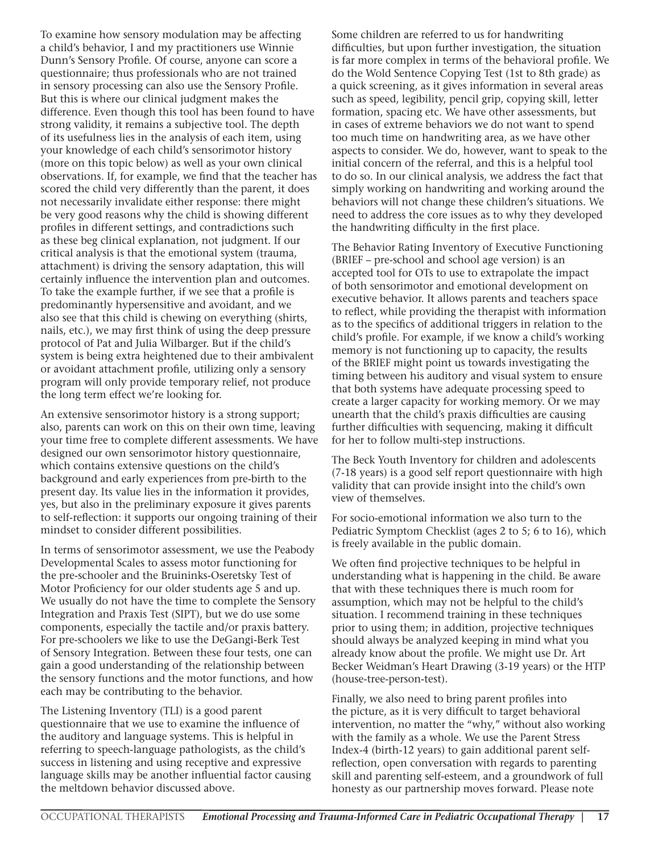To examine how sensory modulation may be affecting a child's behavior, I and my practitioners use Winnie Dunn's Sensory Profile. Of course, anyone can score a questionnaire; thus professionals who are not trained in sensory processing can also use the Sensory Profile. But this is where our clinical judgment makes the difference. Even though this tool has been found to have strong validity, it remains a subjective tool. The depth of its usefulness lies in the analysis of each item, using your knowledge of each child's sensorimotor history (more on this topic below) as well as your own clinical observations. If, for example, we find that the teacher has scored the child very differently than the parent, it does not necessarily invalidate either response: there might be very good reasons why the child is showing different profiles in different settings, and contradictions such as these beg clinical explanation, not judgment. If our critical analysis is that the emotional system (trauma, attachment) is driving the sensory adaptation, this will certainly influence the intervention plan and outcomes. To take the example further, if we see that a profile is predominantly hypersensitive and avoidant, and we also see that this child is chewing on everything (shirts, nails, etc.), we may first think of using the deep pressure protocol of Pat and Julia Wilbarger. But if the child's system is being extra heightened due to their ambivalent or avoidant attachment profile, utilizing only a sensory program will only provide temporary relief, not produce the long term effect we're looking for.

An extensive sensorimotor history is a strong support; also, parents can work on this on their own time, leaving your time free to complete different assessments. We have designed our own sensorimotor history questionnaire, which contains extensive questions on the child's background and early experiences from pre-birth to the present day. Its value lies in the information it provides, yes, but also in the preliminary exposure it gives parents to self-reflection: it supports our ongoing training of their mindset to consider different possibilities.

In terms of sensorimotor assessment, we use the Peabody Developmental Scales to assess motor functioning for the pre-schooler and the Bruininks-Oseretsky Test of Motor Proficiency for our older students age 5 and up. We usually do not have the time to complete the Sensory Integration and Praxis Test (SIPT), but we do use some components, especially the tactile and/or praxis battery. For pre-schoolers we like to use the DeGangi-Berk Test of Sensory Integration. Between these four tests, one can gain a good understanding of the relationship between the sensory functions and the motor functions, and how each may be contributing to the behavior.

The Listening Inventory (TLI) is a good parent questionnaire that we use to examine the influence of the auditory and language systems. This is helpful in referring to speech-language pathologists, as the child's success in listening and using receptive and expressive language skills may be another influential factor causing the meltdown behavior discussed above.

Some children are referred to us for handwriting difficulties, but upon further investigation, the situation is far more complex in terms of the behavioral profile. We do the Wold Sentence Copying Test (1st to 8th grade) as a quick screening, as it gives information in several areas such as speed, legibility, pencil grip, copying skill, letter formation, spacing etc. We have other assessments, but in cases of extreme behaviors we do not want to spend too much time on handwriting area, as we have other aspects to consider. We do, however, want to speak to the initial concern of the referral, and this is a helpful tool to do so. In our clinical analysis, we address the fact that simply working on handwriting and working around the behaviors will not change these children's situations. We need to address the core issues as to why they developed the handwriting difficulty in the first place.

The Behavior Rating Inventory of Executive Functioning (BRIEF – pre-school and school age version) is an accepted tool for OTs to use to extrapolate the impact of both sensorimotor and emotional development on executive behavior. It allows parents and teachers space to reflect, while providing the therapist with information as to the specifics of additional triggers in relation to the child's profile. For example, if we know a child's working memory is not functioning up to capacity, the results of the BRIEF might point us towards investigating the timing between his auditory and visual system to ensure that both systems have adequate processing speed to create a larger capacity for working memory. Or we may unearth that the child's praxis difficulties are causing further difficulties with sequencing, making it difficult for her to follow multi-step instructions.

The Beck Youth Inventory for children and adolescents (7-18 years) is a good self report questionnaire with high validity that can provide insight into the child's own view of themselves.

For socio-emotional information we also turn to the Pediatric Symptom Checklist (ages 2 to 5; 6 to 16), which is freely available in the public domain.

We often find projective techniques to be helpful in understanding what is happening in the child. Be aware that with these techniques there is much room for assumption, which may not be helpful to the child's situation. I recommend training in these techniques prior to using them; in addition, projective techniques should always be analyzed keeping in mind what you already know about the profile. We might use Dr. Art Becker Weidman's Heart Drawing (3-19 years) or the HTP (house-tree-person-test).

Finally, we also need to bring parent profiles into the picture, as it is very difficult to target behavioral intervention, no matter the "why," without also working with the family as a whole. We use the Parent Stress Index-4 (birth-12 years) to gain additional parent selfreflection, open conversation with regards to parenting skill and parenting self-esteem, and a groundwork of full honesty as our partnership moves forward. Please note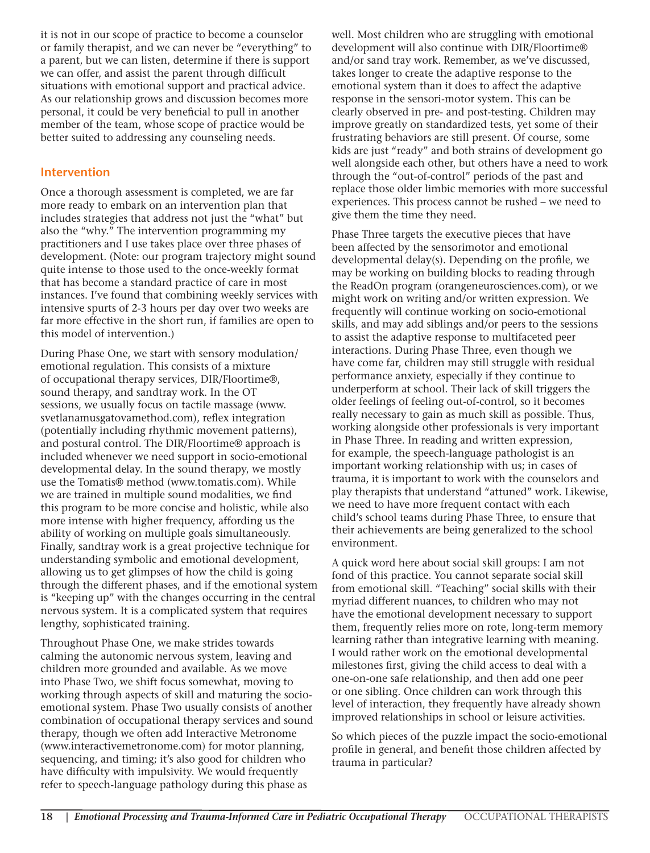it is not in our scope of practice to become a counselor or family therapist, and we can never be "everything" to a parent, but we can listen, determine if there is support we can offer, and assist the parent through difficult situations with emotional support and practical advice. As our relationship grows and discussion becomes more personal, it could be very beneficial to pull in another member of the team, whose scope of practice would be better suited to addressing any counseling needs.

#### **Intervention**

Once a thorough assessment is completed, we are far more ready to embark on an intervention plan that includes strategies that address not just the "what" but also the "why." The intervention programming my practitioners and I use takes place over three phases of development. (Note: our program trajectory might sound quite intense to those used to the once-weekly format that has become a standard practice of care in most instances. I've found that combining weekly services with intensive spurts of 2-3 hours per day over two weeks are far more effective in the short run, if families are open to this model of intervention.)

During Phase One, we start with sensory modulation/ emotional regulation. This consists of a mixture of occupational therapy services, DIR/Floortime®, sound therapy, and sandtray work. In the OT sessions, we usually focus on tactile massage (www. svetlanamusgatovamethod.com), reflex integration (potentially including rhythmic movement patterns), and postural control. The DIR/Floortime® approach is included whenever we need support in socio-emotional developmental delay. In the sound therapy, we mostly use the Tomatis® method (www.tomatis.com). While we are trained in multiple sound modalities, we find this program to be more concise and holistic, while also more intense with higher frequency, affording us the ability of working on multiple goals simultaneously. Finally, sandtray work is a great projective technique for understanding symbolic and emotional development, allowing us to get glimpses of how the child is going through the different phases, and if the emotional system is "keeping up" with the changes occurring in the central nervous system. It is a complicated system that requires lengthy, sophisticated training.

Throughout Phase One, we make strides towards calming the autonomic nervous system, leaving and children more grounded and available. As we move into Phase Two, we shift focus somewhat, moving to working through aspects of skill and maturing the socioemotional system. Phase Two usually consists of another combination of occupational therapy services and sound therapy, though we often add Interactive Metronome (www.interactivemetronome.com) for motor planning, sequencing, and timing; it's also good for children who have difficulty with impulsivity. We would frequently refer to speech-language pathology during this phase as

well. Most children who are struggling with emotional development will also continue with DIR/Floortime® and/or sand tray work. Remember, as we've discussed, takes longer to create the adaptive response to the emotional system than it does to affect the adaptive response in the sensori-motor system. This can be clearly observed in pre- and post-testing. Children may improve greatly on standardized tests, yet some of their frustrating behaviors are still present. Of course, some kids are just "ready" and both strains of development go well alongside each other, but others have a need to work through the "out-of-control" periods of the past and replace those older limbic memories with more successful experiences. This process cannot be rushed – we need to give them the time they need.

Phase Three targets the executive pieces that have been affected by the sensorimotor and emotional developmental delay(s). Depending on the profile, we may be working on building blocks to reading through the ReadOn program (orangeneurosciences.com), or we might work on writing and/or written expression. We frequently will continue working on socio-emotional skills, and may add siblings and/or peers to the sessions to assist the adaptive response to multifaceted peer interactions. During Phase Three, even though we have come far, children may still struggle with residual performance anxiety, especially if they continue to underperform at school. Their lack of skill triggers the older feelings of feeling out-of-control, so it becomes really necessary to gain as much skill as possible. Thus, working alongside other professionals is very important in Phase Three. In reading and written expression, for example, the speech-language pathologist is an important working relationship with us; in cases of trauma, it is important to work with the counselors and play therapists that understand "attuned" work. Likewise, we need to have more frequent contact with each child's school teams during Phase Three, to ensure that their achievements are being generalized to the school environment.

A quick word here about social skill groups: I am not fond of this practice. You cannot separate social skill from emotional skill. "Teaching" social skills with their myriad different nuances, to children who may not have the emotional development necessary to support them, frequently relies more on rote, long-term memory learning rather than integrative learning with meaning. I would rather work on the emotional developmental milestones first, giving the child access to deal with a one-on-one safe relationship, and then add one peer or one sibling. Once children can work through this level of interaction, they frequently have already shown improved relationships in school or leisure activities.

So which pieces of the puzzle impact the socio-emotional profile in general, and benefit those children affected by trauma in particular?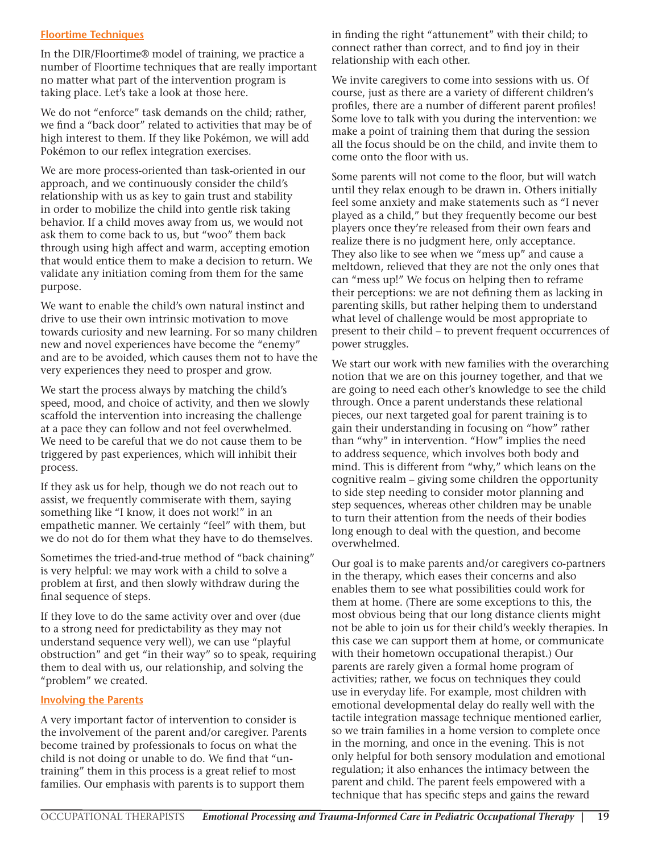#### **Floortime Techniques**

In the DIR/Floortime® model of training, we practice a number of Floortime techniques that are really important no matter what part of the intervention program is taking place. Let's take a look at those here.

We do not "enforce" task demands on the child; rather, we find a "back door" related to activities that may be of high interest to them. If they like Pokémon, we will add Pokémon to our reflex integration exercises.

We are more process-oriented than task-oriented in our approach, and we continuously consider the child's relationship with us as key to gain trust and stability in order to mobilize the child into gentle risk taking behavior. If a child moves away from us, we would not ask them to come back to us, but "woo" them back through using high affect and warm, accepting emotion that would entice them to make a decision to return. We validate any initiation coming from them for the same purpose.

We want to enable the child's own natural instinct and drive to use their own intrinsic motivation to move towards curiosity and new learning. For so many children new and novel experiences have become the "enemy" and are to be avoided, which causes them not to have the very experiences they need to prosper and grow.

We start the process always by matching the child's speed, mood, and choice of activity, and then we slowly scaffold the intervention into increasing the challenge at a pace they can follow and not feel overwhelmed. We need to be careful that we do not cause them to be triggered by past experiences, which will inhibit their process.

If they ask us for help, though we do not reach out to assist, we frequently commiserate with them, saying something like "I know, it does not work!" in an empathetic manner. We certainly "feel" with them, but we do not do for them what they have to do themselves.

Sometimes the tried-and-true method of "back chaining" is very helpful: we may work with a child to solve a problem at first, and then slowly withdraw during the final sequence of steps.

If they love to do the same activity over and over (due to a strong need for predictability as they may not understand sequence very well), we can use "playful obstruction" and get "in their way" so to speak, requiring them to deal with us, our relationship, and solving the "problem" we created.

#### **Involving the Parents**

A very important factor of intervention to consider is the involvement of the parent and/or caregiver. Parents become trained by professionals to focus on what the child is not doing or unable to do. We find that "untraining" them in this process is a great relief to most families. Our emphasis with parents is to support them

in finding the right "attunement" with their child; to connect rather than correct, and to find joy in their relationship with each other.

We invite caregivers to come into sessions with us. Of course, just as there are a variety of different children's profiles, there are a number of different parent profiles! Some love to talk with you during the intervention: we make a point of training them that during the session all the focus should be on the child, and invite them to come onto the floor with us.

Some parents will not come to the floor, but will watch until they relax enough to be drawn in. Others initially feel some anxiety and make statements such as "I never played as a child," but they frequently become our best players once they're released from their own fears and realize there is no judgment here, only acceptance. They also like to see when we "mess up" and cause a meltdown, relieved that they are not the only ones that can "mess up!" We focus on helping then to reframe their perceptions: we are not defining them as lacking in parenting skills, but rather helping them to understand what level of challenge would be most appropriate to present to their child – to prevent frequent occurrences of power struggles.

We start our work with new families with the overarching notion that we are on this journey together, and that we are going to need each other's knowledge to see the child through. Once a parent understands these relational pieces, our next targeted goal for parent training is to gain their understanding in focusing on "how" rather than "why" in intervention. "How" implies the need to address sequence, which involves both body and mind. This is different from "why," which leans on the cognitive realm – giving some children the opportunity to side step needing to consider motor planning and step sequences, whereas other children may be unable to turn their attention from the needs of their bodies long enough to deal with the question, and become overwhelmed.

Our goal is to make parents and/or caregivers co-partners in the therapy, which eases their concerns and also enables them to see what possibilities could work for them at home. (There are some exceptions to this, the most obvious being that our long distance clients might not be able to join us for their child's weekly therapies. In this case we can support them at home, or communicate with their hometown occupational therapist.) Our parents are rarely given a formal home program of activities; rather, we focus on techniques they could use in everyday life. For example, most children with emotional developmental delay do really well with the tactile integration massage technique mentioned earlier, so we train families in a home version to complete once in the morning, and once in the evening. This is not only helpful for both sensory modulation and emotional regulation; it also enhances the intimacy between the parent and child. The parent feels empowered with a technique that has specific steps and gains the reward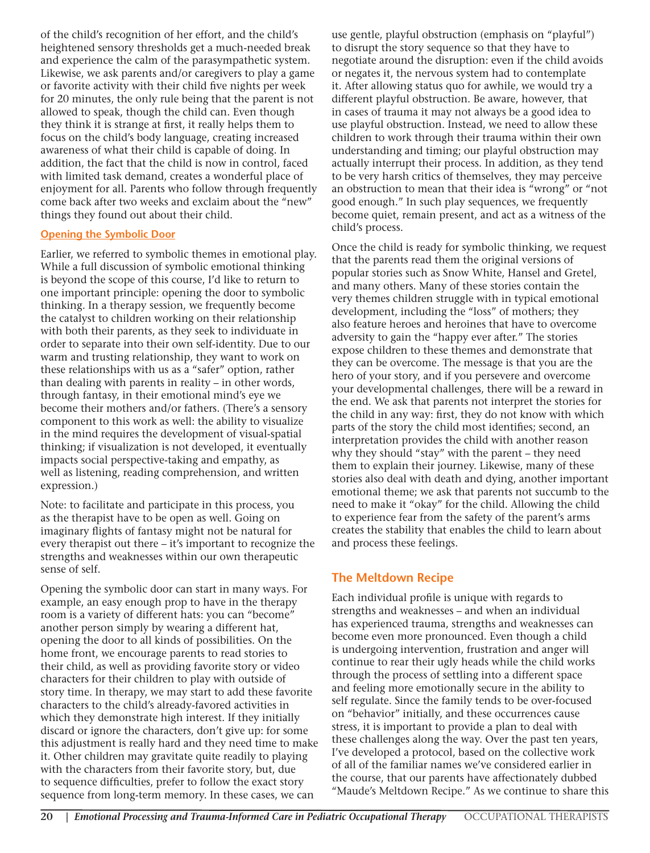of the child's recognition of her effort, and the child's heightened sensory thresholds get a much-needed break and experience the calm of the parasympathetic system. Likewise, we ask parents and/or caregivers to play a game or favorite activity with their child five nights per week for 20 minutes, the only rule being that the parent is not allowed to speak, though the child can. Even though they think it is strange at first, it really helps them to focus on the child's body language, creating increased awareness of what their child is capable of doing. In addition, the fact that the child is now in control, faced with limited task demand, creates a wonderful place of enjoyment for all. Parents who follow through frequently come back after two weeks and exclaim about the "new" things they found out about their child.

#### **Opening the Symbolic Door**

Earlier, we referred to symbolic themes in emotional play. While a full discussion of symbolic emotional thinking is beyond the scope of this course, I'd like to return to one important principle: opening the door to symbolic thinking. In a therapy session, we frequently become the catalyst to children working on their relationship with both their parents, as they seek to individuate in order to separate into their own self-identity. Due to our warm and trusting relationship, they want to work on these relationships with us as a "safer" option, rather than dealing with parents in reality – in other words, through fantasy, in their emotional mind's eye we become their mothers and/or fathers. (There's a sensory component to this work as well: the ability to visualize in the mind requires the development of visual-spatial thinking; if visualization is not developed, it eventually impacts social perspective-taking and empathy, as well as listening, reading comprehension, and written expression.)

Note: to facilitate and participate in this process, you as the therapist have to be open as well. Going on imaginary flights of fantasy might not be natural for every therapist out there – it's important to recognize the strengths and weaknesses within our own therapeutic sense of self.

Opening the symbolic door can start in many ways. For example, an easy enough prop to have in the therapy room is a variety of different hats: you can "become" another person simply by wearing a different hat, opening the door to all kinds of possibilities. On the home front, we encourage parents to read stories to their child, as well as providing favorite story or video characters for their children to play with outside of story time. In therapy, we may start to add these favorite characters to the child's already-favored activities in which they demonstrate high interest. If they initially discard or ignore the characters, don't give up: for some this adjustment is really hard and they need time to make it. Other children may gravitate quite readily to playing with the characters from their favorite story, but, due to sequence difficulties, prefer to follow the exact story sequence from long-term memory. In these cases, we can

use gentle, playful obstruction (emphasis on "playful") to disrupt the story sequence so that they have to negotiate around the disruption: even if the child avoids or negates it, the nervous system had to contemplate it. After allowing status quo for awhile, we would try a different playful obstruction. Be aware, however, that in cases of trauma it may not always be a good idea to use playful obstruction. Instead, we need to allow these children to work through their trauma within their own understanding and timing; our playful obstruction may actually interrupt their process. In addition, as they tend to be very harsh critics of themselves, they may perceive an obstruction to mean that their idea is "wrong" or "not good enough." In such play sequences, we frequently become quiet, remain present, and act as a witness of the child's process.

Once the child is ready for symbolic thinking, we request that the parents read them the original versions of popular stories such as Snow White, Hansel and Gretel, and many others. Many of these stories contain the very themes children struggle with in typical emotional development, including the "loss" of mothers; they also feature heroes and heroines that have to overcome adversity to gain the "happy ever after." The stories expose children to these themes and demonstrate that they can be overcome. The message is that you are the hero of your story, and if you persevere and overcome your developmental challenges, there will be a reward in the end. We ask that parents not interpret the stories for the child in any way: first, they do not know with which parts of the story the child most identifies; second, an interpretation provides the child with another reason why they should "stay" with the parent – they need them to explain their journey. Likewise, many of these stories also deal with death and dying, another important emotional theme; we ask that parents not succumb to the need to make it "okay" for the child. Allowing the child to experience fear from the safety of the parent's arms creates the stability that enables the child to learn about and process these feelings.

#### **The Meltdown Recipe**

Each individual profile is unique with regards to strengths and weaknesses – and when an individual has experienced trauma, strengths and weaknesses can become even more pronounced. Even though a child is undergoing intervention, frustration and anger will continue to rear their ugly heads while the child works through the process of settling into a different space and feeling more emotionally secure in the ability to self regulate. Since the family tends to be over-focused on "behavior" initially, and these occurrences cause stress, it is important to provide a plan to deal with these challenges along the way. Over the past ten years, I've developed a protocol, based on the collective work of all of the familiar names we've considered earlier in the course, that our parents have affectionately dubbed "Maude's Meltdown Recipe." As we continue to share this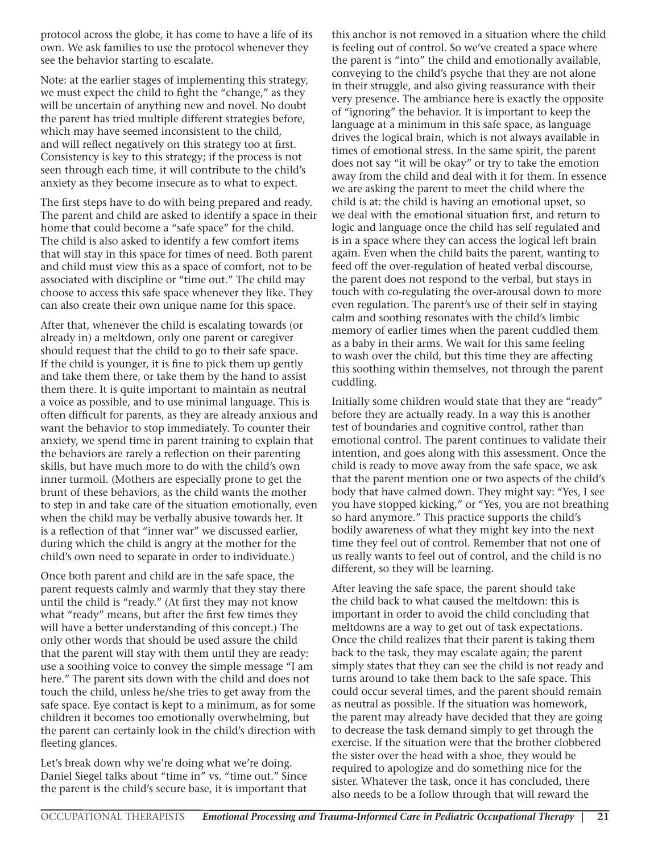protocol across the globe, it has come to have a life of its own. We ask families to use the protocol whenever they see the behavior starting to escalate.

Note: at the earlier stages of implementing this strategy, we must expect the child to fight the "change," as they will be uncertain of anything new and novel. No doubt the parent has tried multiple different strategies before, which may have seemed inconsistent to the child, and will reflect negatively on this strategy too at first. Consistency is key to this strategy; if the process is not seen through each time, it will contribute to the child's anxiety as they become insecure as to what to expect.

The first steps have to do with being prepared and ready. The parent and child are asked to identify a space in their home that could become a "safe space" for the child. The child is also asked to identify a few comfort items that will stay in this space for times of need. Both parent and child must view this as a space of comfort, not to be associated with discipline or "time out." The child may choose to access this safe space whenever they like. They can also create their own unique name for this space.

After that, whenever the child is escalating towards (or already in) a meltdown, only one parent or caregiver should request that the child to go to their safe space. If the child is younger, it is fine to pick them up gently and take them there, or take them by the hand to assist them there. It is quite important to maintain as neutral a voice as possible, and to use minimal language. This is often difficult for parents, as they are already anxious and want the behavior to stop immediately. To counter their anxiety, we spend time in parent training to explain that the behaviors are rarely a reflection on their parenting skills, but have much more to do with the child's own inner turmoil. (Mothers are especially prone to get the brunt of these behaviors, as the child wants the mother to step in and take care of the situation emotionally, even when the child may be verbally abusive towards her. It is a reflection of that "inner war" we discussed earlier, during which the child is angry at the mother for the child's own need to separate in order to individuate.)

Once both parent and child are in the safe space, the parent requests calmly and warmly that they stay there until the child is "ready." (At first they may not know what "ready" means, but after the first few times they will have a better understanding of this concept.) The only other words that should be used assure the child that the parent will stay with them until they are ready: use a soothing voice to convey the simple message "I am here." The parent sits down with the child and does not touch the child, unless he/she tries to get away from the safe space. Eye contact is kept to a minimum, as for some children it becomes too emotionally overwhelming, but the parent can certainly look in the child's direction with fleeting glances.

Let's break down why we're doing what we're doing. Daniel Siegel talks about "time in" vs. "time out." Since the parent is the child's secure base, it is important that this anchor is not removed in a situation where the child is feeling out of control. So we've created a space where the parent is "into" the child and emotionally available, conveying to the child's psyche that they are not alone in their struggle, and also giving reassurance with their very presence. The ambiance here is exactly the opposite of "ignoring" the behavior. It is important to keep the language at a minimum in this safe space, as language drives the logical brain, which is not always available in times of emotional stress. In the same spirit, the parent does not say "it will be okay" or try to take the emotion away from the child and deal with it for them. In essence we are asking the parent to meet the child where the child is at: the child is having an emotional upset, so we deal with the emotional situation first, and return to logic and language once the child has self regulated and is in a space where they can access the logical left brain again. Even when the child baits the parent, wanting to feed off the over-regulation of heated verbal discourse, the parent does not respond to the verbal, but stays in touch with co-regulating the over-arousal down to more even regulation. The parent's use of their self in staying calm and soothing resonates with the child's limbic memory of earlier times when the parent cuddled them as a baby in their arms. We wait for this same feeling to wash over the child, but this time they are affecting this soothing within themselves, not through the parent cuddling.

Initially some children would state that they are "ready" before they are actually ready. In a way this is another test of boundaries and cognitive control, rather than emotional control. The parent continues to validate their intention, and goes along with this assessment. Once the child is ready to move away from the safe space, we ask that the parent mention one or two aspects of the child's body that have calmed down. They might say: "Yes, I see you have stopped kicking," or "Yes, you are not breathing so hard anymore." This practice supports the child's bodily awareness of what they might key into the next time they feel out of control. Remember that not one of us really wants to feel out of control, and the child is no different, so they will be learning.

After leaving the safe space, the parent should take the child back to what caused the meltdown: this is important in order to avoid the child concluding that meltdowns are a way to get out of task expectations. Once the child realizes that their parent is taking them back to the task, they may escalate again; the parent simply states that they can see the child is not ready and turns around to take them back to the safe space. This could occur several times, and the parent should remain as neutral as possible. If the situation was homework, the parent may already have decided that they are going to decrease the task demand simply to get through the exercise. If the situation were that the brother clobbered the sister over the head with a shoe, they would be required to apologize and do something nice for the sister. Whatever the task, once it has concluded, there also needs to be a follow through that will reward the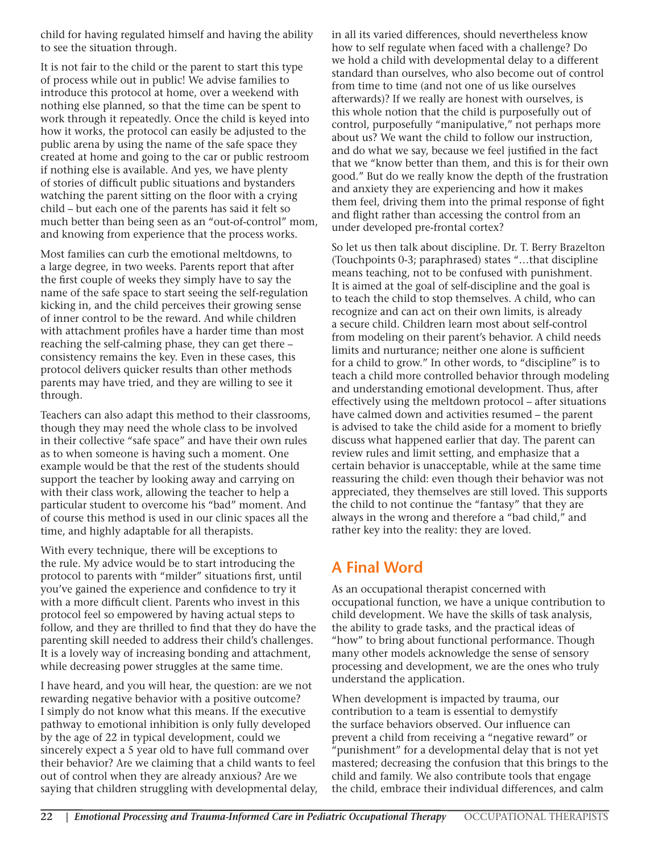child for having regulated himself and having the ability to see the situation through.

It is not fair to the child or the parent to start this type of process while out in public! We advise families to introduce this protocol at home, over a weekend with nothing else planned, so that the time can be spent to work through it repeatedly. Once the child is keyed into how it works, the protocol can easily be adjusted to the public arena by using the name of the safe space they created at home and going to the car or public restroom if nothing else is available. And yes, we have plenty of stories of difficult public situations and bystanders watching the parent sitting on the floor with a crying child – but each one of the parents has said it felt so much better than being seen as an "out-of-control" mom, and knowing from experience that the process works.

Most families can curb the emotional meltdowns, to a large degree, in two weeks. Parents report that after the first couple of weeks they simply have to say the name of the safe space to start seeing the self-regulation kicking in, and the child perceives their growing sense of inner control to be the reward. And while children with attachment profiles have a harder time than most reaching the self-calming phase, they can get there – consistency remains the key. Even in these cases, this protocol delivers quicker results than other methods parents may have tried, and they are willing to see it through.

Teachers can also adapt this method to their classrooms, though they may need the whole class to be involved in their collective "safe space" and have their own rules as to when someone is having such a moment. One example would be that the rest of the students should support the teacher by looking away and carrying on with their class work, allowing the teacher to help a particular student to overcome his "bad" moment. And of course this method is used in our clinic spaces all the time, and highly adaptable for all therapists.

With every technique, there will be exceptions to the rule. My advice would be to start introducing the protocol to parents with "milder" situations first, until you've gained the experience and confidence to try it with a more difficult client. Parents who invest in this protocol feel so empowered by having actual steps to follow, and they are thrilled to find that they do have the parenting skill needed to address their child's challenges. It is a lovely way of increasing bonding and attachment, while decreasing power struggles at the same time.

I have heard, and you will hear, the question: are we not rewarding negative behavior with a positive outcome? I simply do not know what this means. If the executive pathway to emotional inhibition is only fully developed by the age of 22 in typical development, could we sincerely expect a 5 year old to have full command over their behavior? Are we claiming that a child wants to feel out of control when they are already anxious? Are we saying that children struggling with developmental delay, in all its varied differences, should nevertheless know how to self regulate when faced with a challenge? Do we hold a child with developmental delay to a different standard than ourselves, who also become out of control from time to time (and not one of us like ourselves afterwards)? If we really are honest with ourselves, is this whole notion that the child is purposefully out of control, purposefully "manipulative," not perhaps more about us? We want the child to follow our instruction, and do what we say, because we feel justified in the fact that we "know better than them, and this is for their own good." But do we really know the depth of the frustration and anxiety they are experiencing and how it makes them feel, driving them into the primal response of fight and flight rather than accessing the control from an under developed pre-frontal cortex?

So let us then talk about discipline. Dr. T. Berry Brazelton (Touchpoints 0-3; paraphrased) states "…that discipline means teaching, not to be confused with punishment. It is aimed at the goal of self-discipline and the goal is to teach the child to stop themselves. A child, who can recognize and can act on their own limits, is already a secure child. Children learn most about self-control from modeling on their parent's behavior. A child needs limits and nurturance; neither one alone is sufficient for a child to grow." In other words, to "discipline" is to teach a child more controlled behavior through modeling and understanding emotional development. Thus, after effectively using the meltdown protocol – after situations have calmed down and activities resumed – the parent is advised to take the child aside for a moment to briefly discuss what happened earlier that day. The parent can review rules and limit setting, and emphasize that a certain behavior is unacceptable, while at the same time reassuring the child: even though their behavior was not appreciated, they themselves are still loved. This supports the child to not continue the "fantasy" that they are always in the wrong and therefore a "bad child," and rather key into the reality: they are loved.

## **A Final Word**

As an occupational therapist concerned with occupational function, we have a unique contribution to child development. We have the skills of task analysis, the ability to grade tasks, and the practical ideas of "how" to bring about functional performance. Though many other models acknowledge the sense of sensory processing and development, we are the ones who truly understand the application.

When development is impacted by trauma, our contribution to a team is essential to demystify the surface behaviors observed. Our influence can prevent a child from receiving a "negative reward" or "punishment" for a developmental delay that is not yet mastered; decreasing the confusion that this brings to the child and family. We also contribute tools that engage the child, embrace their individual differences, and calm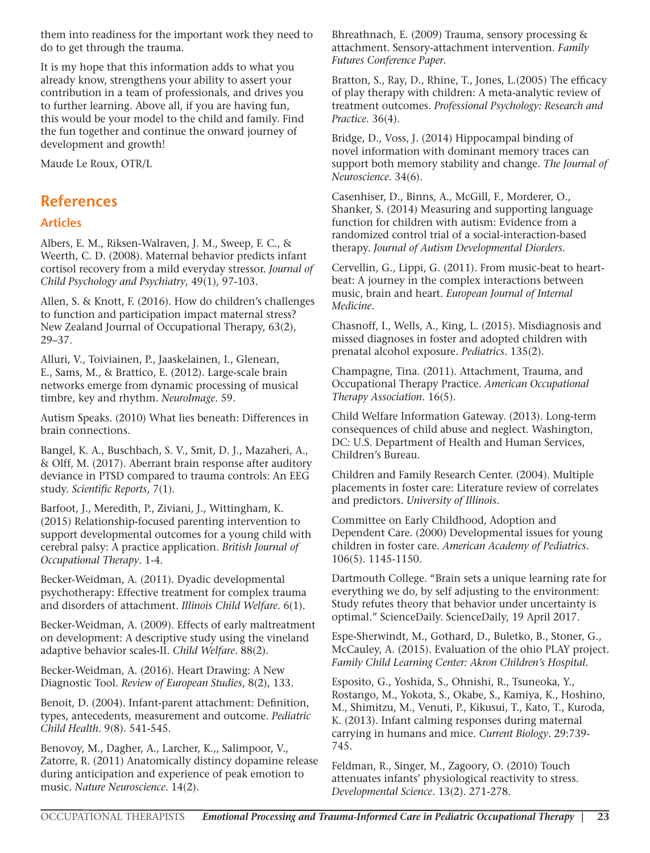them into readiness for the important work they need to do to get through the trauma.

It is my hope that this information adds to what you already know, strengthens your ability to assert your contribution in a team of professionals, and drives you to further learning. Above all, if you are having fun, this would be your model to the child and family. Find the fun together and continue the onward journey of development and growth!

Maude Le Roux, OTR/L

### **References**

#### **Articles**

Albers, E. M., Riksen-Walraven, J. M., Sweep, F. C., & Weerth, C. D. (2008). Maternal behavior predicts infant cortisol recovery from a mild everyday stressor. *Journal of Child Psychology and Psychiatry*, 49(1), 97-103.

Allen, S. & Knott, F. (2016). How do children's challenges to function and participation impact maternal stress? New Zealand Journal of Occupational Therapy, 63(2), 29–37.

Alluri, V., Toiviainen, P., Jaaskelainen, I., Glenean, E., Sams, M., & Brattico, E. (2012). Large-scale brain networks emerge from dynamic processing of musical timbre, key and rhythm. *NeuroImage*. 59.

Autism Speaks. (2010) What lies beneath: Differences in brain connections.

Bangel, K. A., Buschbach, S. V., Smit, D. J., Mazaheri, A., & Olff, M. (2017). Aberrant brain response after auditory deviance in PTSD compared to trauma controls: An EEG study. *Scientific Reports*, 7(1).

Barfoot, J., Meredith, P., Ziviani, J., Wittingham, K. (2015) Relationship-focused parenting intervention to support developmental outcomes for a young child with cerebral palsy: A practice application. *British Journal of Occupational Therapy*. 1-4.

Becker-Weidman, A. (2011). Dyadic developmental psychotherapy: Effective treatment for complex trauma and disorders of attachment. *Illinois Child Welfare*. 6(1).

Becker-Weidman, A. (2009). Effects of early maltreatment on development: A descriptive study using the vineland adaptive behavior scales-II. *Child Welfare*. 88(2).

Becker-Weidman, A. (2016). Heart Drawing: A New Diagnostic Tool. *Review of European Studies*, 8(2), 133.

Benoit, D. (2004). Infant-parent attachment: Definition, types, antecedents, measurement and outcome. *Pediatric Child Health*. 9(8). 541-545.

Benovoy, M., Dagher, A., Larcher, K.,, Salimpoor, V., Zatorre, R. (2011) Anatomically distincy dopamine release during anticipation and experience of peak emotion to music. *Nature Neuroscience*. 14(2).

Bhreathnach, E. (2009) Trauma, sensory processing & attachment. Sensory-attachment intervention. *Family Futures Conference Paper*.

Bratton, S., Ray, D., Rhine, T., Jones, L.(2005) The efficacy of play therapy with children: A meta-analytic review of treatment outcomes. *Professional Psychology: Research and Practice*. 36(4).

Bridge, D., Voss, J. (2014) Hippocampal binding of novel information with dominant memory traces can support both memory stability and change. *The Journal of Neuroscience*. 34(6).

Casenhiser, D., Binns, A., McGill, F., Morderer, O., Shanker, S. (2014) Measuring and supporting language function for children with autism: Evidence from a randomized control trial of a social-interaction-based therapy. *Journal of Autism Developmental Diorders*.

Cervellin, G., Lippi, G. (2011). From music-beat to heartbeat: A journey in the complex interactions between music, brain and heart. *European Journal of Internal Medicine*.

Chasnoff, I., Wells, A., King, L. (2015). Misdiagnosis and missed diagnoses in foster and adopted children with prenatal alcohol exposure. *Pediatrics*. 135(2).

Champagne, Tina. (2011). Attachment, Trauma, and Occupational Therapy Practice. *American Occupational Therapy Association*. 16(5).

Child Welfare Information Gateway. (2013). Long-term consequences of child abuse and neglect. Washington, DC: U.S. Department of Health and Human Services, Children's Bureau.

Children and Family Research Center. (2004). Multiple placements in foster care: Literature review of correlates and predictors. *University of Illinois*.

Committee on Early Childhood, Adoption and Dependent Care. (2000) Developmental issues for young children in foster care. *American Academy of Pediatrics*. 106(5). 1145-1150.

Dartmouth College. "Brain sets a unique learning rate for everything we do, by self adjusting to the environment: Study refutes theory that behavior under uncertainty is optimal." ScienceDaily. ScienceDaily, 19 April 2017.

Espe-Sherwindt, M., Gothard, D., Buletko, B., Stoner, G., McCauley, A. (2015). Evaluation of the ohio PLAY project. *Family Child Learning Center: Akron Children's Hospital*.

Esposito, G., Yoshida, S., Ohnishi, R., Tsuneoka, Y., Rostango, M., Yokota, S., Okabe, S., Kamiya, K., Hoshino, M., Shimitzu, M., Venuti, P., Kikusui, T., Kato, T., Kuroda, K. (2013). Infant calming responses during maternal carrying in humans and mice. *Current Biology*. 29:739- 745.

Feldman, R., Singer, M., Zagoory, O. (2010) Touch attenuates infants' physiological reactivity to stress. *Developmental Science*. 13(2). 271-278.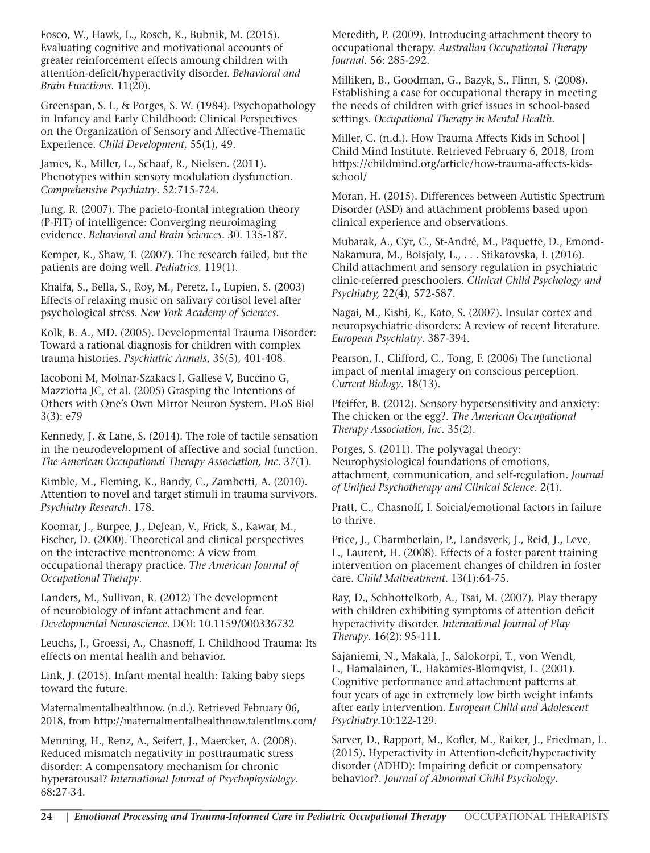Fosco, W., Hawk, L., Rosch, K., Bubnik, M. (2015). Evaluating cognitive and motivational accounts of greater reinforcement effects amoung children with attention-deficit/hyperactivity disorder. *Behavioral and Brain Functions*. 11(20).

Greenspan, S. I., & Porges, S. W. (1984). Psychopathology in Infancy and Early Childhood: Clinical Perspectives on the Organization of Sensory and Affective-Thematic Experience. *Child Development*, 55(1), 49.

James, K., Miller, L., Schaaf, R., Nielsen. (2011). Phenotypes within sensory modulation dysfunction. *Comprehensive Psychiatry*. 52:715-724.

Jung, R. (2007). The parieto-frontal integration theory (P-FIT) of intelligence: Converging neuroimaging evidence. *Behavioral and Brain Sciences*. 30. 135-187.

Kemper, K., Shaw, T. (2007). The research failed, but the patients are doing well. *Pediatrics*. 119(1).

Khalfa, S., Bella, S., Roy, M., Peretz, I., Lupien, S. (2003) Effects of relaxing music on salivary cortisol level after psychological stress. *New York Academy of Sciences*.

Kolk, B. A., MD. (2005). Developmental Trauma Disorder: Toward a rational diagnosis for children with complex trauma histories. *Psychiatric Annals*, 35(5), 401-408.

Iacoboni M, Molnar-Szakacs I, Gallese V, Buccino G, Mazziotta JC, et al. (2005) Grasping the Intentions of Others with One's Own Mirror Neuron System. PLoS Biol 3(3): e79

Kennedy, J. & Lane, S. (2014). The role of tactile sensation in the neurodevelopment of affective and social function. *The American Occupational Therapy Association, Inc*. 37(1).

Kimble, M., Fleming, K., Bandy, C., Zambetti, A. (2010). Attention to novel and target stimuli in trauma survivors. *Psychiatry Research*. 178.

Koomar, J., Burpee, J., DeJean, V., Frick, S., Kawar, M., Fischer, D. (2000). Theoretical and clinical perspectives on the interactive mentronome: A view from occupational therapy practice. *The American Journal of Occupational Therapy*.

Landers, M., Sullivan, R. (2012) The development of neurobiology of infant attachment and fear. *Developmental Neuroscience*. DOI: 10.1159/000336732

Leuchs, J., Groessi, A., Chasnoff, I. Childhood Trauma: Its effects on mental health and behavior.

Link, J. (2015). Infant mental health: Taking baby steps toward the future.

Maternalmentalhealthnow. (n.d.). Retrieved February 06, 2018, from http://maternalmentalhealthnow.talentlms.com/

Menning, H., Renz, A., Seifert, J., Maercker, A. (2008). Reduced mismatch negativity in posttraumatic stress disorder: A compensatory mechanism for chronic hyperarousal? *International Journal of Psychophysiology*. 68:27-34.

Meredith, P. (2009). Introducing attachment theory to occupational therapy. *Australian Occupational Therapy Journal*. 56: 285-292.

Milliken, B., Goodman, G., Bazyk, S., Flinn, S. (2008). Establishing a case for occupational therapy in meeting the needs of children with grief issues in school-based settings. *Occupational Therapy in Mental Health*.

Miller, C. (n.d.). How Trauma Affects Kids in School | Child Mind Institute. Retrieved February 6, 2018, from https://childmind.org/article/how-trauma-affects-kidsschool/

Moran, H. (2015). Differences between Autistic Spectrum Disorder (ASD) and attachment problems based upon clinical experience and observations.

Mubarak, A., Cyr, C., St-André, M., Paquette, D., Emond-Nakamura, M., Boisjoly, L., . . . Stikarovska, I. (2016). Child attachment and sensory regulation in psychiatric clinic-referred preschoolers. *Clinical Child Psychology and Psychiatry,* 22(4), 572-587.

Nagai, M., Kishi, K., Kato, S. (2007). Insular cortex and neuropsychiatric disorders: A review of recent literature. *European Psychiatry*. 387-394.

Pearson, J., Clifford, C., Tong, F. (2006) The functional impact of mental imagery on conscious perception. *Current Biology*. 18(13).

Pfeiffer, B. (2012). Sensory hypersensitivity and anxiety: The chicken or the egg?. *The American Occupational Therapy Association, Inc*. 35(2).

Porges, S. (2011). The polyvagal theory: Neurophysiological foundations of emotions, attachment, communication, and self-regulation. *Journal of Unified Psychotherapy and Clinical Science*. 2(1).

Pratt, C., Chasnoff, I. Soicial/emotional factors in failure to thrive.

Price, J., Charmberlain, P., Landsverk, J., Reid, J., Leve, L., Laurent, H. (2008). Effects of a foster parent training intervention on placement changes of children in foster care. *Child Maltreatment*. 13(1):64-75.

Ray, D., Schhottelkorb, A., Tsai, M. (2007). Play therapy with children exhibiting symptoms of attention deficit hyperactivity disorder. *International Journal of Play Therapy*. 16(2): 95-111.

Sajaniemi, N., Makala, J., Salokorpi, T., von Wendt, L., Hamalainen, T., Hakamies-Blomqvist, L. (2001). Cognitive performance and attachment patterns at four years of age in extremely low birth weight infants after early intervention. *European Child and Adolescent Psychiatry*.10:122-129.

Sarver, D., Rapport, M., Kofler, M., Raiker, J., Friedman, L. (2015). Hyperactivity in Attention-deficit/hyperactivity disorder (ADHD): Impairing deficit or compensatory behavior?. *Journal of Abnormal Child Psychology*.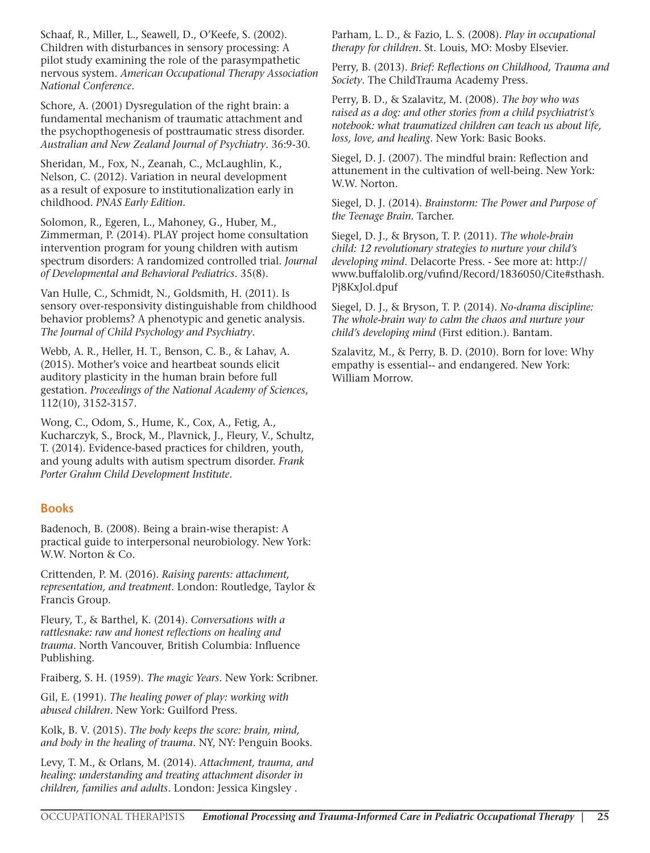Schaaf, R., Miller, L., Seawell, D., O'Keefe, S. (2002). Children with disturbances in sensory processing: A pilot study examining the role of the parasympathetic nervous system. *American Occupational Therapy Association National Conference*.

Schore, A. (2001) Dysregulation of the right brain: a fundamental mechanism of traumatic attachment and the psychopthogenesis of posttraumatic stress disorder. *Australian and New Zealand Journal of Psychiatry*. 36:9-30.

Sheridan, M., Fox, N., Zeanah, C., McLaughlin, K., Nelson, C. (2012). Variation in neural development as a result of exposure to institutionalization early in childhood. *PNAS Early Edition*.

Solomon, R., Egeren, L., Mahoney, G., Huber, M., Zimmerman, P. (2014). PLAY project home consultation intervention program for young children with autism spectrum disorders: A randomized controlled trial. *Journal of Developmental and Behavioral Pediatrics*. 35(8).

Van Hulle, C., Schmidt, N., Goldsmith, H. (2011). Is sensory over-responsivity distinguishable from childhood behavior problems? A phenotypic and genetic analysis. *The Journal of Child Psychology and Psychiatry*.

Webb, A. R., Heller, H. T., Benson, C. B., & Lahav, A. (2015). Mother's voice and heartbeat sounds elicit auditory plasticity in the human brain before full gestation. *Proceedings of the National Academy of Sciences*, 112(10), 3152-3157.

Wong, C., Odom, S., Hume, K., Cox, A., Fetig, A., Kucharczyk, S., Brock, M., Plavnick, J., Fleury, V., Schultz, T. (2014). Evidence-based practices for children, youth, and young adults with autism spectrum disorder. *Frank Porter Grahm Child Development Institute*.

#### **Books**

Badenoch, B. (2008). Being a brain-wise therapist: A practical guide to interpersonal neurobiology. New York: W.W. Norton & Co.

Crittenden, P. M. (2016). *Raising parents: attachment, representation, and treatment*. London: Routledge, Taylor & Francis Group.

Fleury, T., & Barthel, K. (2014). *Conversations with a rattlesnake: raw and honest reflections on healing and trauma*. North Vancouver, British Columbia: Influence Publishing.

Fraiberg, S. H. (1959). *The magic Years*. New York: Scribner.

Gil, E. (1991). *The healing power of play: working with abused children*. New York: Guilford Press.

Kolk, B. V. (2015). *The body keeps the score: brain, mind, and body in the healing of trauma*. NY, NY: Penguin Books.

Levy, T. M., & Orlans, M. (2014). *Attachment, trauma, and healing: understanding and treating attachment disorder in children, families and adults*. London: Jessica Kingsley .

Parham, L. D., & Fazio, L. S. (2008). *Play in occupational therapy for children*. St. Louis, MO: Mosby Elsevier.

Perry, B. (2013). *Brief: Reflections on Childhood, Trauma and Society*. The ChildTrauma Academy Press.

Perry, B. D., & Szalavitz, M. (2008). *The boy who was raised as a dog: and other stories from a child psychiatrist's notebook: what traumatized children can teach us about life, loss, love, and healing*. New York: Basic Books.

Siegel, D. J. (2007). The mindful brain: Reflection and attunement in the cultivation of well-being. New York: W.W. Norton.

Siegel, D. J. (2014). *Brainstorm: The Power and Purpose of the Teenage Brain.* Tarcher.

Siegel, D. J., & Bryson, T. P. (2011). *The whole-brain child: 12 revolutionary strategies to nurture your child's developing mind*. Delacorte Press. - See more at: http:// www.buffalolib.org/vufind/Record/1836050/Cite#sthash. Pj8KxJol.dpuf

Siegel, D. J., & Bryson, T. P. (2014). *No-drama discipline: The whole-brain way to calm the chaos and nurture your child's developing mind* (First edition.). Bantam.

Szalavitz, M., & Perry, B. D. (2010). Born for love: Why empathy is essential-- and endangered. New York: William Morrow.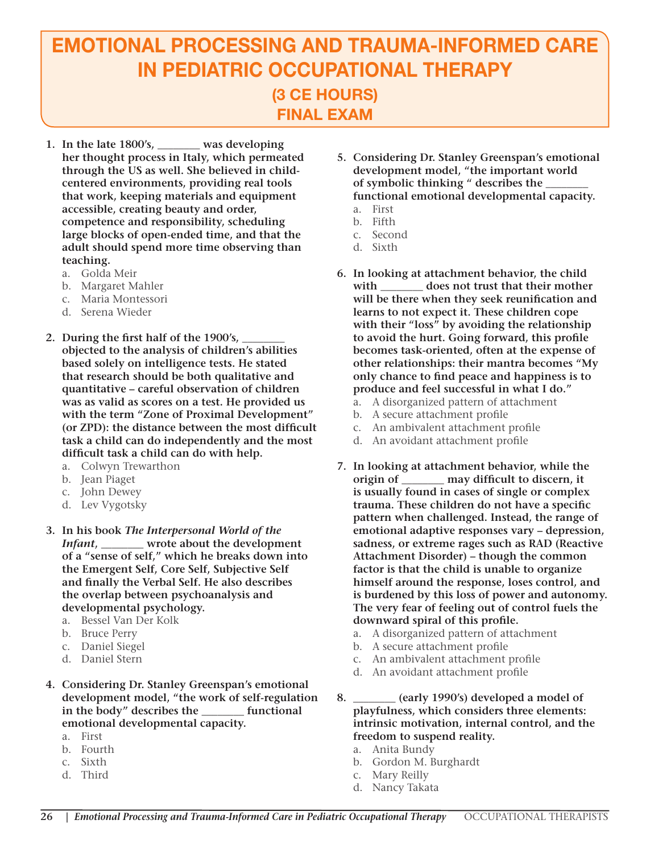## EMOTIONAL PROCESSING AND TRAUMA-INFORMED CARE IN PEDIATRIC OCCUPATIONAL THERAPY (3 CE HOURS) FINAL EXAM

- **1. In the late 1800's, \_\_\_\_\_\_\_\_ was developing her thought process in Italy, which permeated through the US as well. She believed in childcentered environments, providing real tools that work, keeping materials and equipment accessible, creating beauty and order, competence and responsibility, scheduling large blocks of open-ended time, and that the adult should spend more time observing than teaching.**
	- a. Golda Meir
	- b. Margaret Mahler
	- c. Maria Montessori
	- d. Serena Wieder
- 2. During the first half of the 1900's, **objected to the analysis of children's abilities based solely on intelligence tests. He stated that research should be both qualitative and quantitative – careful observation of children was as valid as scores on a test. He provided us with the term "Zone of Proximal Development" (or ZPD): the distance between the most difficult task a child can do independently and the most difficult task a child can do with help.**
	- a. Colwyn Trewarthon
	- b. Jean Piaget
	- c. John Dewey
	- d. Lev Vygotsky
- **3. In his book** *The Interpersonal World of the Infant***, \_\_\_\_\_\_\_\_ wrote about the development of a "sense of self," which he breaks down into the Emergent Self, Core Self, Subjective Self and finally the Verbal Self. He also describes the overlap between psychoanalysis and developmental psychology.** 
	- a. Bessel Van Der Kolk
	- b. Bruce Perry
	- c. Daniel Siegel
	- d. Daniel Stern
- **4. Considering Dr. Stanley Greenspan's emotional development model, "the work of self-regulation in the body" describes the \_\_\_\_\_\_\_\_ functional emotional developmental capacity.**
	- a. First
	- b. Fourth
	- c. Sixth
	- d. Third
- **5. Considering Dr. Stanley Greenspan's emotional development model, "the important world**  of symbolic thinking " describes the **functional emotional developmental capacity.** a. First
	- b. Fifth
	- c. Second
	- d. Sixth
		-
- **6. In looking at attachment behavior, the child with \_\_\_\_\_\_\_\_ does not trust that their mother will be there when they seek reunification and learns to not expect it. These children cope with their "loss" by avoiding the relationship to avoid the hurt. Going forward, this profile becomes task-oriented, often at the expense of other relationships: their mantra becomes "My only chance to find peace and happiness is to produce and feel successful in what I do."**
	- a. A disorganized pattern of attachment
	- b. A secure attachment profile
	- c. An ambivalent attachment profile
	- d. An avoidant attachment profile
- **7. In looking at attachment behavior, while the origin of \_\_\_\_\_\_\_\_ may difficult to discern, it is usually found in cases of single or complex trauma. These children do not have a specific pattern when challenged. Instead, the range of emotional adaptive responses vary – depression, sadness, or extreme rages such as RAD (Reactive Attachment Disorder) – though the common factor is that the child is unable to organize himself around the response, loses control, and is burdened by this loss of power and autonomy. The very fear of feeling out of control fuels the downward spiral of this profile.** 
	- a. A disorganized pattern of attachment
	- b. A secure attachment profile
	- c. An ambivalent attachment profile
	- d. An avoidant attachment profile
- **8. \_\_\_\_\_\_\_\_ (early 1990's) developed a model of playfulness, which considers three elements: intrinsic motivation, internal control, and the freedom to suspend reality.**
	- a. Anita Bundy
	- b. Gordon M. Burghardt
	- c. Mary Reilly
	- d. Nancy Takata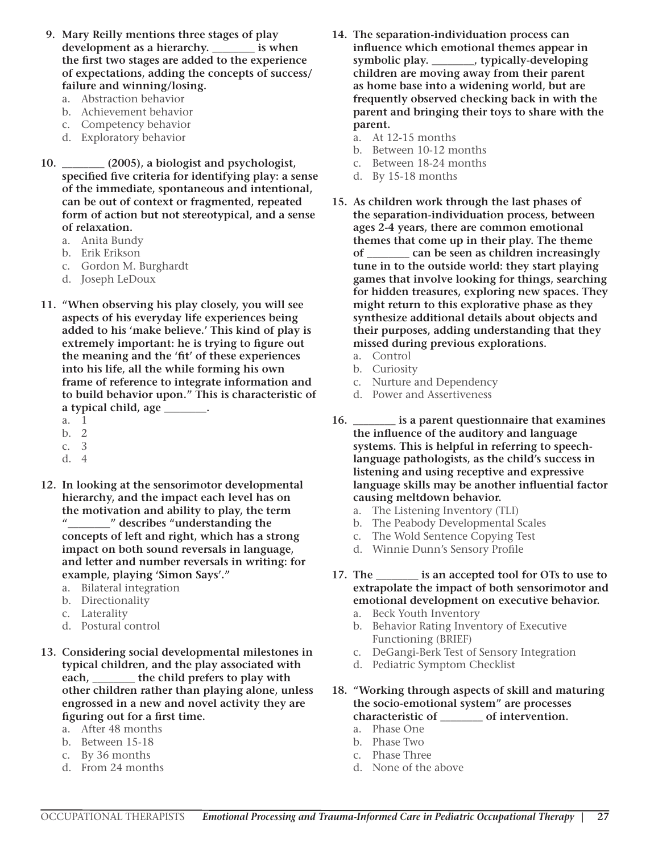- **9. Mary Reilly mentions three stages of play development as a hierarchy. \_\_\_\_\_\_\_\_ is when the first two stages are added to the experience of expectations, adding the concepts of success/ failure and winning/losing.**
	- a. Abstraction behavior
	- b. Achievement behavior
	- c. Competency behavior
	- d. Exploratory behavior
- **10. \_\_\_\_\_\_\_\_ (2005), a biologist and psychologist, specified five criteria for identifying play: a sense of the immediate, spontaneous and intentional, can be out of context or fragmented, repeated form of action but not stereotypical, and a sense of relaxation.** 
	- a. Anita Bundy
	- b. Erik Erikson
	- c. Gordon M. Burghardt
	- d. Joseph LeDoux
- **11. "When observing his play closely, you will see aspects of his everyday life experiences being added to his 'make believe.' This kind of play is extremely important: he is trying to figure out the meaning and the 'fit' of these experiences into his life, all the while forming his own frame of reference to integrate information and to build behavior upon." This is characteristic of a typical child, age \_\_\_\_\_\_\_\_.**
	- a. 1
	- b. 2
	- c. 3
	- d. 4
- **12. In looking at the sensorimotor developmental hierarchy, and the impact each level has on the motivation and ability to play, the term "\_\_\_\_\_\_\_\_" describes "understanding the concepts of left and right, which has a strong impact on both sound reversals in language, and letter and number reversals in writing: for example, playing 'Simon Says'."** 
	- a. Bilateral integration
	- b. Directionality
	- c. Laterality
	- d. Postural control
- **13. Considering social developmental milestones in typical children, and the play associated with each, \_\_\_\_\_\_\_\_ the child prefers to play with other children rather than playing alone, unless engrossed in a new and novel activity they are figuring out for a first time.**
	- a. After 48 months
	- b. Between 15-18
	- c. By 36 months
	- d. From 24 months
- **14. The separation-individuation process can influence which emotional themes appear in symbolic play. \_\_\_\_\_\_\_\_, typically-developing children are moving away from their parent as home base into a widening world, but are frequently observed checking back in with the parent and bringing their toys to share with the parent.** 
	- a. At 12-15 months
	- b. Between 10-12 months
	- c. Between 18-24 months
	- d. By 15-18 months
- **15. As children work through the last phases of the separation-individuation process, between ages 2-4 years, there are common emotional themes that come up in their play. The theme of \_\_\_\_\_\_\_\_ can be seen as children increasingly tune in to the outside world: they start playing games that involve looking for things, searching for hidden treasures, exploring new spaces. They might return to this explorative phase as they synthesize additional details about objects and their purposes, adding understanding that they missed during previous explorations.** 
	- a. Control
	- b. Curiosity
	- c. Nurture and Dependency
	- d. Power and Assertiveness
- **16. \_\_\_\_\_\_\_\_ is a parent questionnaire that examines the influence of the auditory and language systems. This is helpful in referring to speechlanguage pathologists, as the child's success in listening and using receptive and expressive language skills may be another influential factor causing meltdown behavior.**
	- a. The Listening Inventory (TLI)
	- b. The Peabody Developmental Scales
	- c. The Wold Sentence Copying Test
	- d. Winnie Dunn's Sensory Profile
- **17. The \_\_\_\_\_\_\_\_ is an accepted tool for OTs to use to extrapolate the impact of both sensorimotor and emotional development on executive behavior.**
	- a. Beck Youth Inventory
	- b. Behavior Rating Inventory of Executive Functioning (BRIEF)
	- c. DeGangi-Berk Test of Sensory Integration
	- d. Pediatric Symptom Checklist

**18. "Working through aspects of skill and maturing the socio-emotional system" are processes characteristic of \_\_\_\_\_\_\_\_ of intervention.**

- a. Phase One
- b. Phase Two
- c. Phase Three
- d. None of the above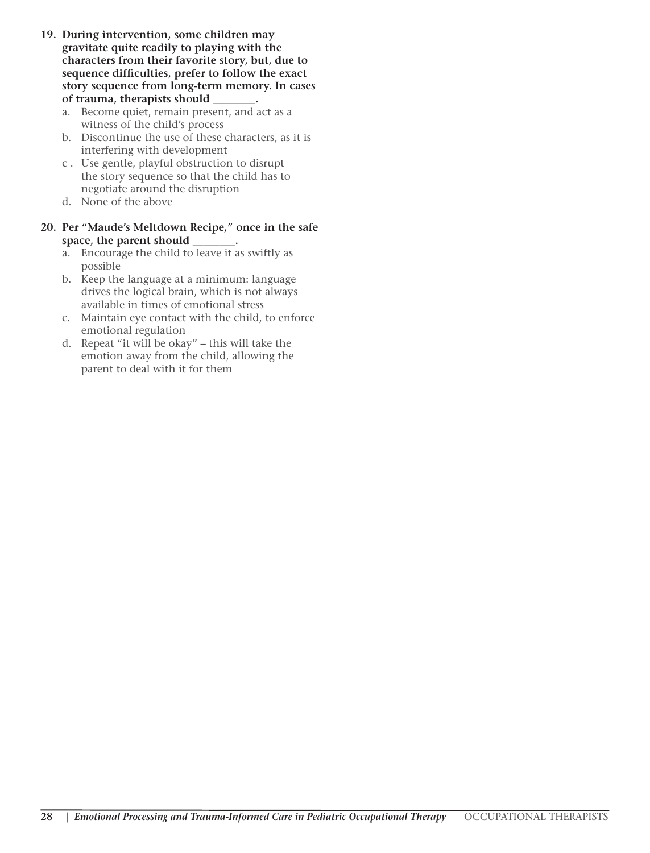- **19. During intervention, some children may gravitate quite readily to playing with the characters from their favorite story, but, due to sequence difficulties, prefer to follow the exact story sequence from long-term memory. In cases of trauma, therapists should \_\_\_\_\_\_\_\_.**
	- a. Become quiet, remain present, and act as a witness of the child's process
	- b. Discontinue the use of these characters, as it is interfering with development
	- c . Use gentle, playful obstruction to disrupt the story sequence so that the child has to negotiate around the disruption
	- d. None of the above

#### **20. Per "Maude's Meltdown Recipe," once in the safe space, the parent should \_\_\_\_\_\_\_\_.**

- a. Encourage the child to leave it as swiftly as possible
- b. Keep the language at a minimum: language drives the logical brain, which is not always available in times of emotional stress
- c. Maintain eye contact with the child, to enforce emotional regulation
- d. Repeat "it will be okay" this will take the emotion away from the child, allowing the parent to deal with it for them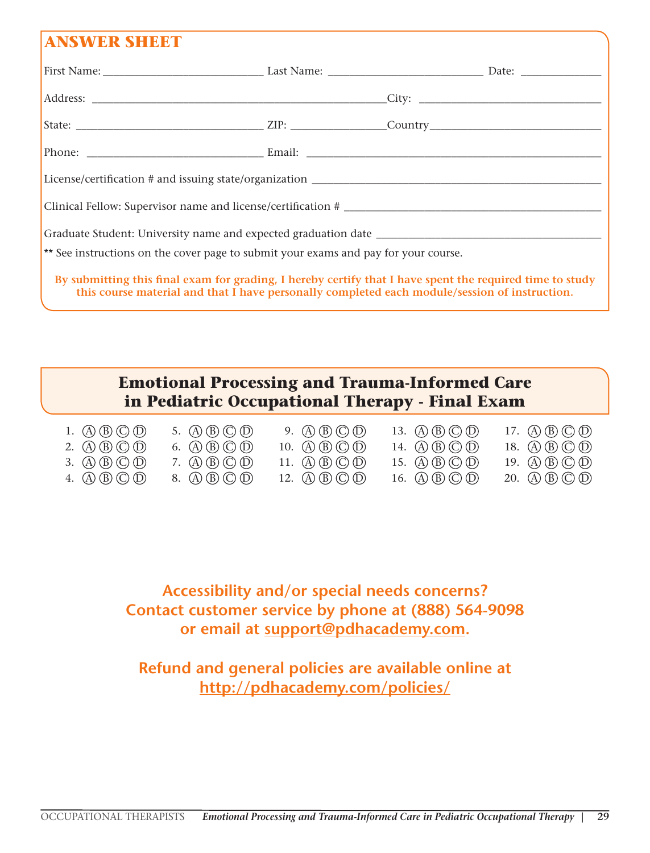## **ANSWER SHEET**

| ** See instructions on the cover page to submit your exams and pay for your course.                      |  |  |
|----------------------------------------------------------------------------------------------------------|--|--|
| By submitting this final exam for grading, I hereby certify that I have spent the required time to study |  |  |

**this course material and that I have personally completed each module/session of instruction.**

## **Emotional Processing and Trauma-Informed Care in Pediatric Occupational Therapy - Final Exam**

| 1. $\mathbb{A}\mathbb{B}\mathbb{C}\mathbb{D}$ | 5. $\mathbb{(A)}\mathbb{(B)}\mathbb{(C)}\mathbb{(D)}$                                                     | 9. $\mathbb{A}\mathbb{B}\mathbb{C}\mathbb{D}$  | 13. $\mathbb{A}\mathbb{B}\mathbb{C}\mathbb{D}$ | 17. $\mathbb{A}\mathbb{B}\mathbb{C}\mathbb{O}$ $\mathbb{D}$                  |
|-----------------------------------------------|-----------------------------------------------------------------------------------------------------------|------------------------------------------------|------------------------------------------------|------------------------------------------------------------------------------|
| 2. $\mathbb{A}\mathbb{B}\mathbb{C}\mathbb{D}$ | 6. $\left(\overline{A}\right)\left(\overline{B}\right)\left(\overline{C}\right)\left(\overline{D}\right)$ | 10. $\mathbb{A}\mathbb{B}\mathbb{C}\mathbb{D}$ | 14. $\mathbb{A}\mathbb{B}\mathbb{C}\mathbb{D}$ | 18. (A) (B) (C) (D)                                                          |
| 3. $\mathbb{A}\mathbb{B}\mathbb{C}\mathbb{D}$ | 7. $\mathbb{A}\mathbb{B}\mathbb{C}\mathbb{D}$                                                             | 11. $\mathbb{A}\mathbb{B}\mathbb{C}\mathbb{D}$ | 15. $\mathbb{A}\mathbb{B}\mathbb{C}\mathbb{D}$ | 19. $\mathbb{A}\mathbb{B}\mathbb{C}\mathbb{D}$                               |
| 4. $\mathbb{A}\mathbb{B}\mathbb{C}\mathbb{D}$ | 8. $\mathbb{A}\mathbb{B}\mathbb{C}\mathbb{D}$                                                             | 12. $\mathbb{A}\mathbb{B}\mathbb{C}\mathbb{D}$ | 16. $\mathbb{A}\mathbb{B}\mathbb{C}\mathbb{D}$ | 20. $\textcircled{A} \times \textcircled{B} \textcircled{C} \textcircled{D}$ |

**Accessibility and/or special needs concerns? Contact customer service by phone at (888) 564-9098 or email at support@pdhacademy.com.**

**Refund and general policies are available online at http://pdhacademy.com/policies/**